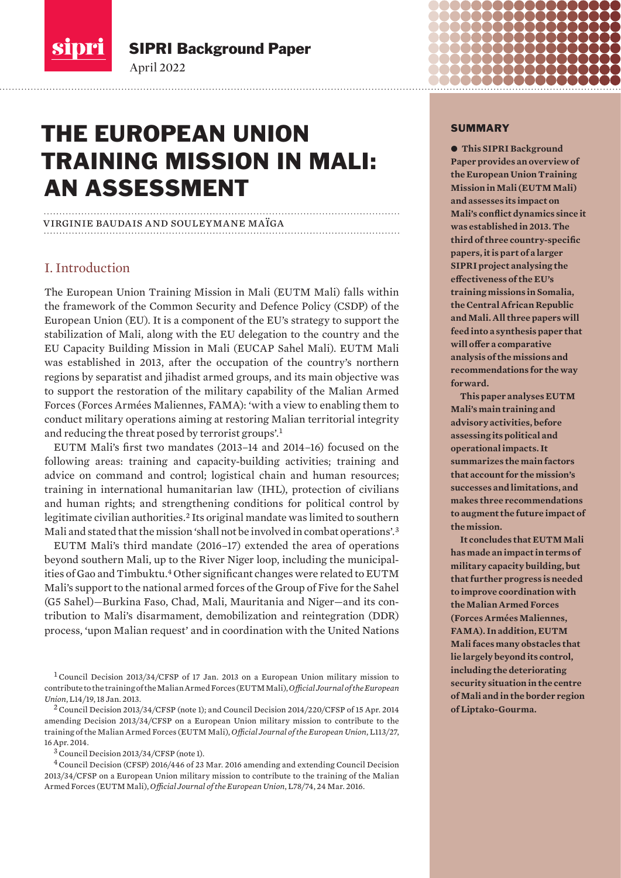<span id="page-0-0"></span>

SIPRI Background Paper

# THE EUROPEAN UNION TRAINING MISSION IN MALI: AN ASSESSMENT

# virginie baudais and souleymane maïga

April 2022

# I. Introduction

The European Union Training Mission in Mali (EUTM Mali) falls within the framework of the Common Security and Defence Policy (CSDP) of the European Union (EU). It is a component of the EU's strategy to support the stabilization of Mali, along with the EU delegation to the country and the EU Capacity Building Mission in Mali (EUCAP Sahel Mali). EUTM Mali was established in 2013, after the occupation of the country's northern regions by separatist and jihadist armed groups, and its main objective was to support the restoration of the military capability of the Malian Armed Forces (Forces Armées Maliennes, FAMA): 'with a view to enabling them to conduct military operations aiming at restoring Malian territorial integrity and reducing the threat posed by terrorist groups'.<sup>1</sup>

EUTM Mali's first two mandates (2013–14 and 2014–16) focused on the following areas: training and capacity-building activities; training and advice on command and control; logistical chain and human resources; training in international humanitarian law (IHL), protection of civilians and human rights; and strengthening conditions for political control by legitimate civilian authorities.<sup>2</sup> Its original mandate was limited to southern Mali and stated that the mission 'shall not be involved in combat operations'.<sup>3</sup>

EUTM Mali's third mandate (2016–17) extended the area of operations beyond southern Mali, up to the River Niger loop, including the municipalities of Gao and Timbuktu.<sup>4</sup> Other significant changes were related to EUTM Mali's support to the national armed forces of the Group of Five for the Sahel (G5 Sahel)—Burkina Faso, Chad, Mali, Mauritania and Niger—and its contribution to Mali's disarmament, demobilization and reintegration (DDR) process, 'upon Malian request' and in coordination with the United Nations

<sup>1</sup> Council Decision 2013/34/CFSP of 17 Jan. 2013 on a European Union military mission to contribute to the training of the Malian Armed Forces (EUTM Mali), *Official Journal of the European Union*, L14/19, 18 Jan. 2013.

<sup>2</sup>Council Decision 2013/34/CFSP (note 1); and Council Decision 2014/220/CFSP of 15 Apr. 2014 amending Decision 2013/34/CFSP on a European Union military mission to contribute to the training of the Malian Armed Forces (EUTM Mali), *Official Journal of the European Union*, L113/27, 16 Apr. 2014.

<sup>3</sup>Council Decision 2013/34/CFSP (note 1).

<sup>4</sup>Council Decision (CFSP) 2016/446 of 23 Mar. 2016 amending and extending Council Decision 2013/34/CFSP on a European Union military mission to contribute to the training of the Malian Armed Forces (EUTM Mali), *Official Journal of the European Union*, L78/74, 24 Mar. 2016.

#### SUMMARY

 $\bullet$  **This SIPRI Background Paper provides an overview of the European Union Training Mission in Mali (EUTM Mali) and assesses its impact on Mali's conflict dynamics since it was established in 2013. The third of three country-specific papers, it is part of a larger SIPRI project analysing the effectiveness of the EU's training missions in Somalia, the Central African Republic and Mali. All three papers will feed into a synthesis paper that will offer a comparative analysis of the missions and recommendations for the way forward.** 

**This paper analyses EUTM Mali's main training and advisory activities, before assessing its political and operational impacts. It summarizes the main factors that account for the mission's successes and limitations, and makes three recommendations to augment the future impact of the mission.** 

**It concludes that EUTM Mali has made an impact in terms of military capacity building, but that further progress is needed to improve coordination with the Malian Armed Forces (Forces Armées Maliennes, FAMA). In addition, EUTM Mali faces many obstacles that lie largely beyond its control, including the deteriorating security situation in the centre of Mali and in the border region of Liptako-Gourma.**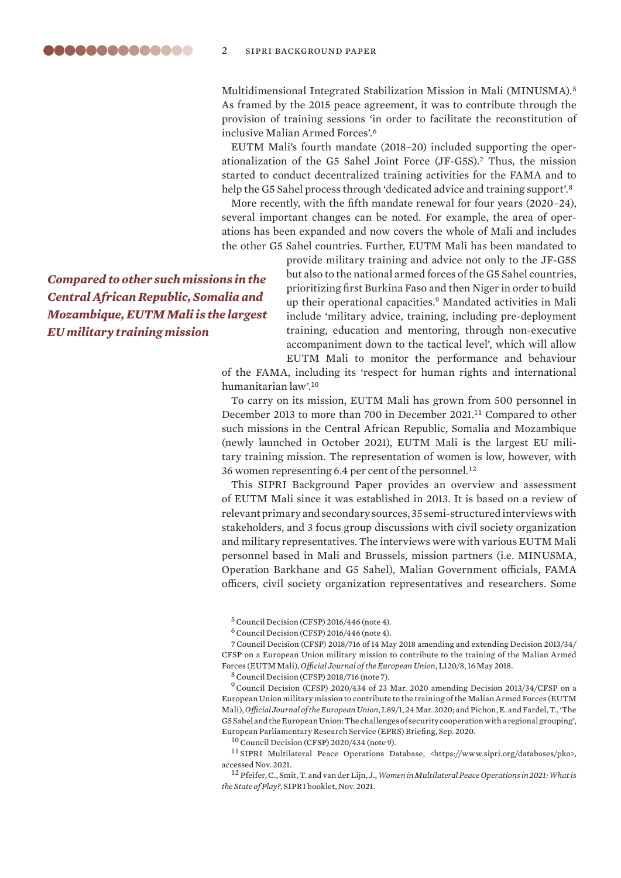Multidimensional Integrated Stabilization Mission in Mali (MINUSMA).<sup>5</sup> As framed by the 2015 peace agreement, it was to contribute through the provision of training sessions 'in order to facilitate the reconstitution of inclusive Malian Armed Forces'.<sup>6</sup>

EUTM Mali's fourth mandate (2018–20) included supporting the operationalization of the G5 Sahel Joint Force (JF-G5S).<sup>7</sup> Thus, the mission started to conduct decentralized training activities for the FAMA and to help the G5 Sahel process through 'dedicated advice and training support'.<sup>8</sup>

More recently, with the fifth mandate renewal for four years (2020–24), several important changes can be noted. For example, the area of operations has been expanded and now covers the whole of Mali and includes the other G5 Sahel countries. Further, EUTM Mali has been mandated to

*Compared to other such missions in the Central African Republic, Somalia and Mozambique, EUTM Mali is the largest EU military training mission*

provide military training and advice not only to the JF-G5S but also to the national armed forces of the G5 Sahel countries, prioritizing first Burkina Faso and then Niger in order to build up their operational capacities.<sup>9</sup> Mandated activities in Mali include 'military advice, training, including pre-deployment training, education and mentoring, through non-executive accompaniment down to the tactical level', which will allow EUTM Mali to monitor the performance and behaviour

of the FAMA, including its 'respect for human rights and international humanitarian law'.<sup>10</sup>

To carry on its mission, EUTM Mali has grown from 500 personnel in December 2013 to more than 700 in December 2021.<sup>11</sup> Compared to other such missions in the Central African Republic, Somalia and Mozambique (newly launched in October 2021), EUTM Mali is the largest EU military training mission. The representation of women is low, however, with 36 women representing 6.4 per cent of the personnel.<sup>12</sup>

This SIPRI Background Paper provides an overview and assessment of EUTM Mali since it was established in 2013. It is based on a review of relevant primary and secondary sources, 35 semi-structured interviews with stakeholders, and 3 focus group discussions with civil society organization and military representatives. The interviews were with various EUTM Mali personnel based in Mali and Brussels, mission partners (i.e. MINUSMA, Operation Barkhane and G5 Sahel), Malian Government officials, FAMA officers, civil society organization representatives and researchers. Some

 $5$  Council Decision (CFSP) 2016/446 (note 4).

 $6$  Council Decision (CFSP) 2016/446 (note 4).

7Council Decision (CFSP) 2018/716 of 14 May 2018 amending and extending Decision 2013/34/ CFSP on a European Union military mission to contribute to the training of the Malian Armed Forces (EUTM Mali), *Official Journal of the European Union*, L120/8, 16 May 2018.

<sup>8</sup>Council Decision (CFSP) 2018/716 (note 7).

<sup>9</sup>Council Decision (CFSP) 2020/434 of 23 Mar. 2020 amending Decision 2013/34/CFSP on a European Union military mission to contribute to the training of the Malian Armed Forces (EUTM Mali), *Official Journal of the European Union*, L89/1, 24 Mar. 2020; and Pichon, E. and Fardel, T., '[The](https://www.europarl.europa.eu/RegData/etudes/BRIE/2020/652074/EPRS_BRI(2020)652074_EN.pdf)  [G5 Sahel and the European Union: The challenges of security cooperation with a regional grouping](https://www.europarl.europa.eu/RegData/etudes/BRIE/2020/652074/EPRS_BRI(2020)652074_EN.pdf)', European Parliamentary Research Service (EPRS) Briefing, Sep. 2020.

<sup>10</sup>Council Decision (CFSP) 2020/434 (note 9).

 $^{11}\rm{SIPRI}$  Multilateral Peace Operations Database, <https://www.sipri.org/databases/pko>, accessed Nov. 2021.

<sup>12</sup> Pfeifer, C., Smit, T. and van der Lijn, J., *[Women in Multilateral Peace Operations in 2021: What is](https://www.sipri.org/sites/default/files/2021-10/women_in_multilateral_peace_operations_in_2021-what_is_the_state_of_play.pdf)  [the State of Play?](https://www.sipri.org/sites/default/files/2021-10/women_in_multilateral_peace_operations_in_2021-what_is_the_state_of_play.pdf)*, SIPRI booklet, Nov. 2021.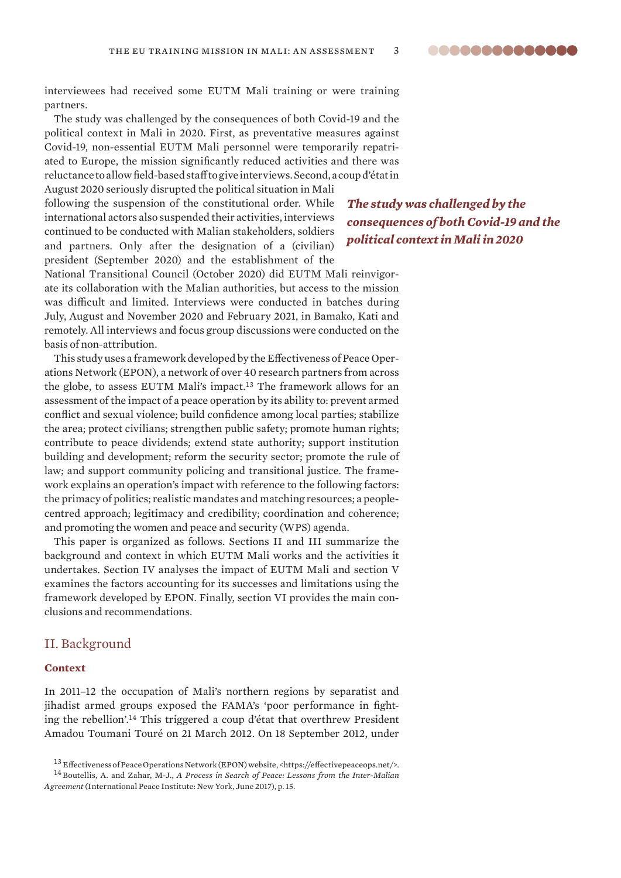<span id="page-2-0"></span>interviewees had received some EUTM Mali training or were training partners.

The study was challenged by the consequences of both Covid-19 and the political context in Mali in 2020. First, as preventative measures against Covid-19, non-essential EUTM Mali personnel were temporarily repatriated to Europe, the mission significantly reduced activities and there was reluctance to allow field-based staff to give interviews. Second, a coup d'état in

August 2020 seriously disrupted the political situation in Mali following the suspension of the constitutional order. While international actors also suspended their activities, interviews continued to be conducted with Malian stakeholders, soldiers and partners. Only after the designation of a (civilian) president (September 2020) and the establishment of the

*The study was challenged by the consequences of both Covid-19 and the political context in Mali in 2020*

National Transitional Council (October 2020) did EUTM Mali reinvigorate its collaboration with the Malian authorities, but access to the mission was difficult and limited. Interviews were conducted in batches during July, August and November 2020 and February 2021, in Bamako, Kati and remotely. All interviews and focus group discussions were conducted on the basis of non-attribution.

This study uses a framework developed by the Effectiveness of Peace Operations Network (EPON), a network of over 40 research partners from across the globe, to assess EUTM Mali's impact.<sup>13</sup> The framework allows for an assessment of the impact of a peace operation by its ability to: prevent armed conflict and sexual violence; build confidence among local parties; stabilize the area; protect civilians; strengthen public safety; promote human rights; contribute to peace dividends; extend state authority; support institution building and development; reform the security sector; promote the rule of law; and support community policing and transitional justice. The framework explains an operation's impact with reference to the following factors: the primacy of politics; realistic mandates and matching resources; a peoplecentred approach; legitimacy and credibility; coordination and coherence; and promoting the women and peace and security (WPS) agenda.

This paper is organized as follows. Sections II and III summarize the background and context in which EUTM Mali works and the activities it undertakes. Section IV analyses the impact of EUTM Mali and section V examines the factors accounting for its successes and limitations using the framework developed by EPON. Finally, section VI provides the main conclusions and recommendations.

# II. Background

# **Context**

In 2011–12 the occupation of Mali's northern regions by separatist and jihadist armed groups exposed the FAMA's 'poor performance in fighting the rebellion'.<sup>14</sup> This triggered a coup d'état that overthrew President Amadou Toumani Touré on 21 March 2012. On 18 September 2012, under

<sup>13</sup> Effectiveness of Peace Operations Network (EPON) website, <https://effectivepeaceops.net/>.

<sup>14</sup> Boutellis, A. and Zahar, M-J., *[A Process in Search of Peace: Lessons from the Inter-Malian](https://www.ipinst.org/wp-content/uploads/2017/06/IPI-Rpt-Inter-Malian-AgreementFinalRev.pdf)  [Agreement](https://www.ipinst.org/wp-content/uploads/2017/06/IPI-Rpt-Inter-Malian-AgreementFinalRev.pdf)* (International Peace Institute: New York, June 2017), p. 15.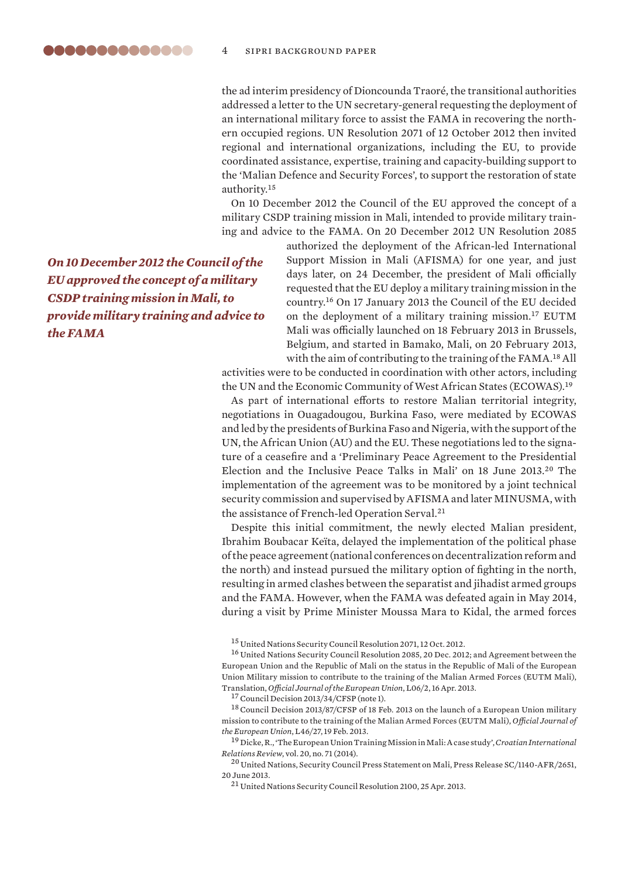the ad interim presidency of Dioncounda Traoré, the transitional authorities addressed a letter to the UN secretary-general requesting the deployment of an international military force to assist the FAMA in recovering the northern occupied regions. UN Resolution 2071 of 12 October 2012 then invited regional and international organizations, including the EU, to provide coordinated assistance, expertise, training and capacity-building support to the 'Malian Defence and Security Forces', to support the restoration of state authority.<sup>15</sup>

On 10 December 2012 the Council of the EU approved the concept of a military CSDP training mission in Mali, intended to provide military training and advice to the FAMA. On 20 December 2012 UN Resolution 2085

*On 10 December 2012 the Council of the EU approved the concept of a military CSDP training mission in Mali, to provide military training and advice to the FAMA*

authorized the deployment of the African-led International Support Mission in Mali (AFISMA) for one year, and just days later, on 24 December, the president of Mali officially requested that the EU deploy a military training mission in the country.<sup>16</sup> On 17 January 2013 the Council of the EU decided on the deployment of a military training mission.<sup>17</sup> EUTM Mali was officially launched on 18 February 2013 in Brussels, Belgium, and started in Bamako, Mali, on 20 February 2013, with the aim of contributing to the training of the FAMA.<sup>18</sup> All

activities were to be conducted in coordination with other actors, including the UN and the Economic Community of West African States (ECOWAS).<sup>19</sup>

As part of international efforts to restore Malian territorial integrity, negotiations in Ouagadougou, Burkina Faso, were mediated by ECOWAS and led by the presidents of Burkina Faso and Nigeria, with the support of the UN, the African Union (AU) and the EU. These negotiations led to the signature of a ceasefire and a 'Preliminary Peace Agreement to the Presidential Election and the Inclusive Peace Talks in Mali' on 18 June 2013.<sup>20</sup> The implementation of the agreement was to be monitored by a joint technical security commission and supervised by AFISMA and later MINUSMA, with the assistance of French-led Operation Serval.<sup>21</sup>

Despite this initial commitment, the newly elected Malian president, Ibrahim Boubacar Keïta, delayed the implementation of the political phase of the peace agreement (national conferences on decentralization reform and the north) and instead pursued the military option of fighting in the north, resulting in armed clashes between the separatist and jihadist armed groups and the FAMA. However, when the FAMA was defeated again in May 2014, during a visit by Prime Minister Moussa Mara to Kidal, the armed forces

<sup>17</sup> Council Decision 2013/34/CFSP (note 1).

<sup>18</sup> Council Decision 2013/87/CFSP of 18 Feb. 2013 on the launch of a European Union military mission to contribute to the training of the Malian Armed Forces (EUTM Mali), *Official Journal of the European Union*, L46/27, 19 Feb. 2013.

<sup>15</sup> United Nations Security Council Resolution 2071, 12 Oct. 2012.

<sup>16</sup> United Nations Security Council Resolution 2085, 20 Dec. 2012; and Agreement between the European Union and the Republic of Mali on the status in the Republic of Mali of the European Union Military mission to contribute to the training of the Malian Armed Forces (EUTM Mali), Translation, *Official Journal of the European Union*, L06/2, 16 Apr. 2013.

<sup>19</sup> Dicke, R., 'The European Union Training Mission in Mali: A case study', *Croatian International Relations Review*, vol. 20, no. 71 (2014).

<sup>20</sup> United Nations, [Security Council Press Statement on Mali,](https://www.un.org/press/en/2013/sc11040.doc.htm) Press Release SC/1140-AFR/2651, 20 June 2013.

<sup>21</sup> United Nations Security Council Resolution 2100, 25 Apr. 2013.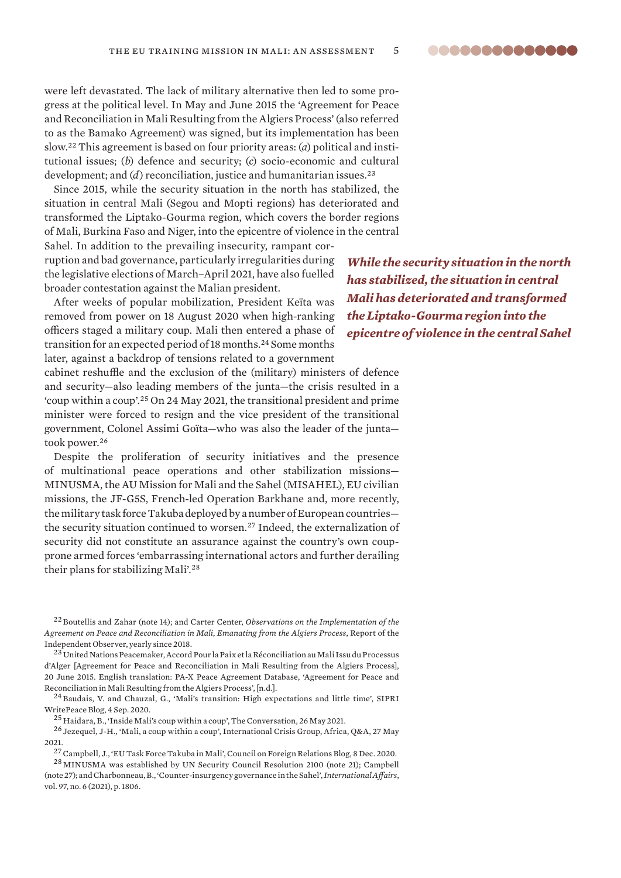were left devastated. The lack of military alternative then led to some progress at the political level. In May and June 2015 the 'Agreement for Peace and Reconciliation in Mali Resulting from the Algiers Process' (also referred to as the Bamako Agreement) was signed, but its implementation has been slow.22 This agreement is based on four priority areas: (*a*) political and institutional issues; (*b*) defence and security; (*c*) socio-economic and cultural development; and (*d*) reconciliation, justice and humanitarian issues.<sup>23</sup>

Since 2015, while the security situation in the north has stabilized, the situation in central Mali (Segou and Mopti regions) has deteriorated and transformed the Liptako-Gourma region, which covers the border regions of Mali, Burkina Faso and Niger, into the epicentre of violence in the central

Sahel. In addition to the prevailing insecurity, rampant corruption and bad governance, particularly irregularities during the legislative elections of March–April 2021, have also fuelled broader contestation against the Malian president.

After weeks of popular mobilization, President Keïta was removed from power on 18 August 2020 when high-ranking officers staged a military coup. Mali then entered a phase of transition for an expected period of 18 months.<sup>24</sup> Some months later, against a backdrop of tensions related to a government

cabinet reshuffle and the exclusion of the (military) ministers of defence and security—also leading members of the junta—the crisis resulted in a 'coup within a coup'.<sup>25</sup> On 24 May 2021, the transitional president and prime minister were forced to resign and the vice president of the transitional government, Colonel Assimi Goïta—who was also the leader of the junta took power.<sup>26</sup>

Despite the proliferation of security initiatives and the presence of multinational peace operations and other stabilization missions— MINUSMA, the AU Mission for Mali and the Sahel (MISAHEL), EU civilian missions, the JF-G5S, French-led Operation Barkhane and, more recently, the military task force Takuba deployed by a number of European countries the security situation continued to worsen.<sup>27</sup> Indeed, the externalization of security did not constitute an assurance against the country's own coupprone armed forces 'embarrassing international actors and further derailing their plans for stabilizing Mali'.<sup>28</sup>

<sup>22</sup> Boutellis and Zahar (note 14); and Carter Center, *Observations on the Implementation of the Agreement on Peace and Reconciliation in Mali*, *Emanating from the Algiers Process*, Report of the Independent Observer, yearly since 2018.

 $^{23}$ United Nations Peacemaker, Accord Pour la Paix et la Réconciliation au Mali Issu du Processus [d'Alger](https://peacemaker.un.org/node/2681) [Agreement for Peace and Reconciliation in Mali Resulting from the Algiers Process], 20 June 2015. English translation: PA-X Peace Agreement Database, ['Agreement for Peace and](https://www.peaceagreements.org/wview/1365/Accord%20Pour%20la%20Paix%20et%20la%20Reconciliation%20au%20Mali%20-%20Issu%20du%20Processus%20d%27Alger)  [Reconciliation in Mali Resulting from the Algiers Process](https://www.peaceagreements.org/wview/1365/Accord%20Pour%20la%20Paix%20et%20la%20Reconciliation%20au%20Mali%20-%20Issu%20du%20Processus%20d%27Alger)', [n.d.].

<sup>24</sup> Baudais, V. and Chauzal, G., ['Mali's transition: High expectations and little time'](https://www.sipri.org/commentary/blog/2020/malis-transition-high-expectations-and-little-time), SIPRI WritePeace Blog, 4 Sep. 2020.

 $^{25}\rm{H}$ aidara, B., ['Inside Mali's coup within a coup'](https://theconversation.com/inside-malis-coup-within-a-coup-161621), The Conversation, 26 May 2021.

<sup>26</sup> Jezequel, J-H., ['Mali, a coup within a coup'](https://www.crisisgroup.org/africa/sahel/mali/mali-un-coup-dans-le-coup), International Crisis Group, Africa, Q&A, 27 May 2021.

 $^{27}$  Campbell, J., '[EU Task Force Takuba in Mali](https://www.cfr.org/blog/eu-task-force-takuba-mali)', Council on Foreign Relations Blog, 8 Dec. 2020.

<sup>28</sup> MINUSMA was established by UN Security Council Resolution 2100 (note 21); Campbell (note 27); and Charbonneau, B., 'Counter-insurgency governance in the Sahel', *International Affairs*, vol. 97, no. 6 (2021), p. 1806.

*While the security situation in the north has stabilized, the situation in central Mali has deteriorated and transformed the Liptako-Gourma region into the epicentre of violence in the central Sahel*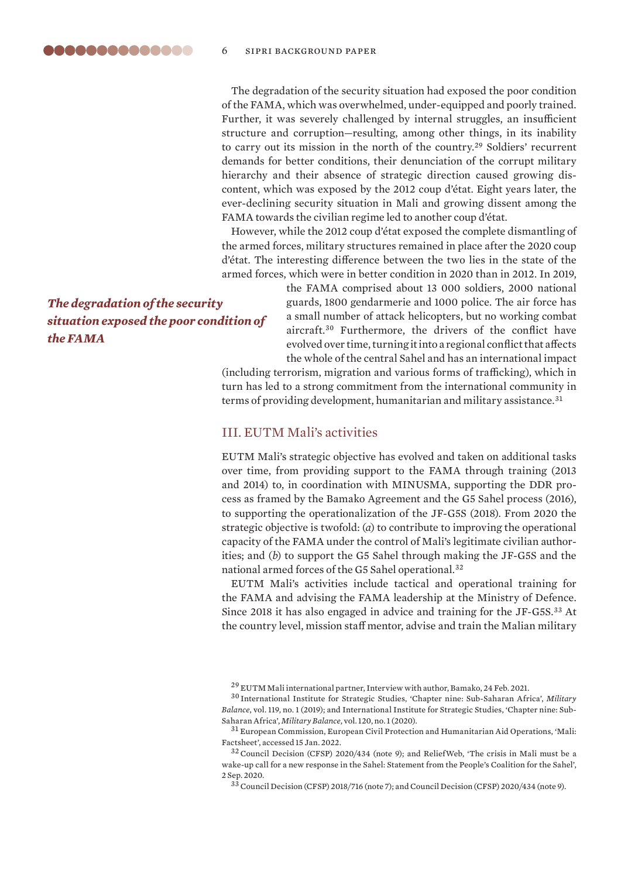<span id="page-5-0"></span>The degradation of the security situation had exposed the poor condition of the FAMA, which was overwhelmed, under-equipped and poorly trained. Further, it was severely challenged by internal struggles, an insufficient structure and corruption—resulting, among other things, in its inability to carry out its mission in the north of the country.<sup>29</sup> Soldiers' recurrent demands for better conditions, their denunciation of the corrupt military hierarchy and their absence of strategic direction caused growing discontent, which was exposed by the 2012 coup d'état. Eight years later, the ever-declining security situation in Mali and growing dissent among the FAMA towards the civilian regime led to another coup d'état.

However, while the 2012 coup d'état exposed the complete dismantling of the armed forces, military structures remained in place after the 2020 coup d'état. The interesting difference between the two lies in the state of the armed forces, which were in better condition in 2020 than in 2012. In 2019,

*The degradation of the security situation exposed the poor condition of the FAMA*

the FAMA comprised about 13 000 soldiers, 2000 national guards, 1800 gendarmerie and 1000 police. The air force has a small number of attack helicopters, but no working combat aircraft.<sup>30</sup> Furthermore, the drivers of the conflict have evolved over time, turning it into a regional conflict that affects the whole of the central Sahel and has an international impact

(including terrorism, migration and various forms of trafficking), which in turn has led to a strong commitment from the international community in terms of providing development, humanitarian and military assistance.<sup>31</sup>

# III. EUTM Mali's activities

EUTM Mali's strategic objective has evolved and taken on additional tasks over time, from providing support to the FAMA through training (2013 and 2014) to, in coordination with MINUSMA, supporting the DDR process as framed by the Bamako Agreement and the G5 Sahel process (2016), to supporting the operationalization of the JF-G5S (2018). From 2020 the strategic objective is twofold: (*a*) to contribute to improving the operational capacity of the FAMA under the control of Mali's legitimate civilian authorities; and (*b*) to support the G5 Sahel through making the JF-G5S and the national armed forces of the G5 Sahel operational.<sup>32</sup>

EUTM Mali's activities include tactical and operational training for the FAMA and advising the FAMA leadership at the Ministry of Defence. Since 2018 it has also engaged in advice and training for the JF-G5S.<sup>33</sup> At the country level, mission staff mentor, advise and train the Malian military

<sup>29</sup> EUTM Mali international partner, Interview with author, Bamako, 24 Feb. 2021.

<sup>30</sup> International Institute for Strategic Studies, ['Chapter nine: Sub-Saharan Africa'](https://doi.org/10.1080/04597222.2019.1561035), *Military Balance*, vol. 119, no. 1 (2019); and International Institute for Strategic Studies, '[Chapter nine: Sub-](https://doi.org/10.1080/04597222.2020.1707971)[Saharan Africa](https://doi.org/10.1080/04597222.2020.1707971)', *Military Balance*, vol. 120, no. 1 (2020).

<sup>31</sup> European Commission, European Civil Protection and Humanitarian Aid Operations, '[Mali:](https://ec.europa.eu/echo/where/africa/mali_en)  [Factsheet'](https://ec.europa.eu/echo/where/africa/mali_en), accessed 15 Jan. 2022.

<sup>32</sup>Council Decision (CFSP) 2020/434 (note 9); and ReliefWeb, '[The crisis in Mali must be a](https://reliefweb.int/report/mali/crisis-mali-must-be-wake-call-new-response-sahel-statement-people-s-coalition-sahel)  [wake-up call for a new response in the Sahel: Statement from the People's Coalition for the Sahel](https://reliefweb.int/report/mali/crisis-mali-must-be-wake-call-new-response-sahel-statement-people-s-coalition-sahel)', 2 Sep. 2020.

<sup>33</sup>Council Decision (CFSP) 2018/716 (note 7); and Council Decision (CFSP) 2020/434 (note 9).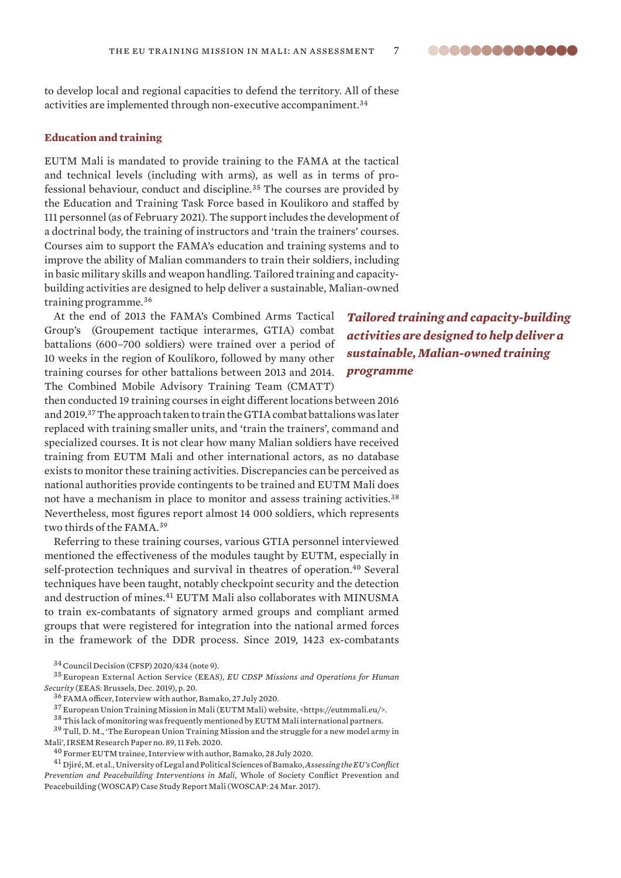<span id="page-6-0"></span>to develop local and regional capacities to defend the territory. All of these activities are implemented through non-executive accompaniment.<sup>34</sup>

# **Education and training**

EUTM Mali is mandated to provide training to the FAMA at the tactical and technical levels (including with arms), as well as in terms of professional behaviour, conduct and discipline.<sup>35</sup> The courses are provided by the Education and Training Task Force based in Koulikoro and staffed by 111 personnel (as of February 2021). The support includes the development of a doctrinal body, the training of instructors and 'train the trainers' courses. Courses aim to support the FAMA's education and training systems and to improve the ability of Malian commanders to train their soldiers, including in basic military skills and weapon handling. Tailored training and capacitybuilding activities are designed to help deliver a sustainable, Malian-owned training programme.<sup>36</sup>

At the end of 2013 the FAMA's Combined Arms Tactical Group's (Groupement tactique interarmes, GTIA) combat battalions (600–700 soldiers) were trained over a period of 10 weeks in the region of Koulikoro, followed by many other training courses for other battalions between 2013 and 2014. The Combined Mobile Advisory Training Team (CMATT)

then conducted 19 training courses in eight different locations between 2016 and 2019.<sup>37</sup> The approach taken to train the GTIA combat battalions was later replaced with training smaller units, and 'train the trainers', command and specialized courses. It is not clear how many Malian soldiers have received training from EUTM Mali and other international actors, as no database exists to monitor these training activities. Discrepancies can be perceived as national authorities provide contingents to be trained and EUTM Mali does not have a mechanism in place to monitor and assess training activities.<sup>38</sup> Nevertheless, most figures report almost 14 000 soldiers, which represents two thirds of the FAMA.<sup>39</sup>

Referring to these training courses, various GTIA personnel interviewed mentioned the effectiveness of the modules taught by EUTM, especially in self-protection techniques and survival in theatres of operation.<sup>40</sup> Several techniques have been taught, notably checkpoint security and the detection and destruction of mines.<sup>41</sup> EUTM Mali also collaborates with MINUSMA to train ex-combatants of signatory armed groups and compliant armed groups that were registered for integration into the national armed forces in the framework of the DDR process. Since 2019, 1423 ex-combatants

 $^{38}\!$  This lack of monitoring was frequently mentioned by EUTM Mali international partners.

<sup>39</sup> Tull, D. M., 'The European Union Training Mission and the struggle for a new model army in [Mali](https://www.irsem.fr/data/files/irsem/documents/document/file/3233/RP_IRSEM_89.pdf)', IRSEM Research Paper no. 89, 11 Feb. 2020.

*Tailored training and capacity-building activities are designed to help deliver a sustainable, Malian-owned training programme*

<sup>34</sup>Council Decision (CFSP) 2020/434 (note 9).

<sup>35</sup> European External Action Service (EEAS), *[EU CDSP Missions and Operations for Human](https://www.asktheeu.org/en/request/7700/response/26500/attach/3/1%20EU%20CSDP%20MissionsOps%20Dec19.pdf?cookie_passthrough=1)  [Security](https://www.asktheeu.org/en/request/7700/response/26500/attach/3/1%20EU%20CSDP%20MissionsOps%20Dec19.pdf?cookie_passthrough=1)* (EEAS: Brussels, Dec. 2019), p. 20.

<sup>36</sup> FAMA officer, Interview with author, Bamako, 27 July 2020.

<sup>37</sup> European Union Training Mission in Mali (EUTM Mali) website, <https://eutmmali.eu/>.

 $^{40}$  Former EUTM trainee, Interview with author, Bamako, 28 July 2020.

<sup>41</sup> Djiré, M. et al., University of Legal and Political Sciences of Bamako, *Assessing the EU's Conflict Prevention and Peacebuilding Interventions in Mali*, Whole of Society Conflict Prevention and Peacebuilding (WOSCAP) Case Study Report Mali (WOSCAP: 24 Mar. 2017).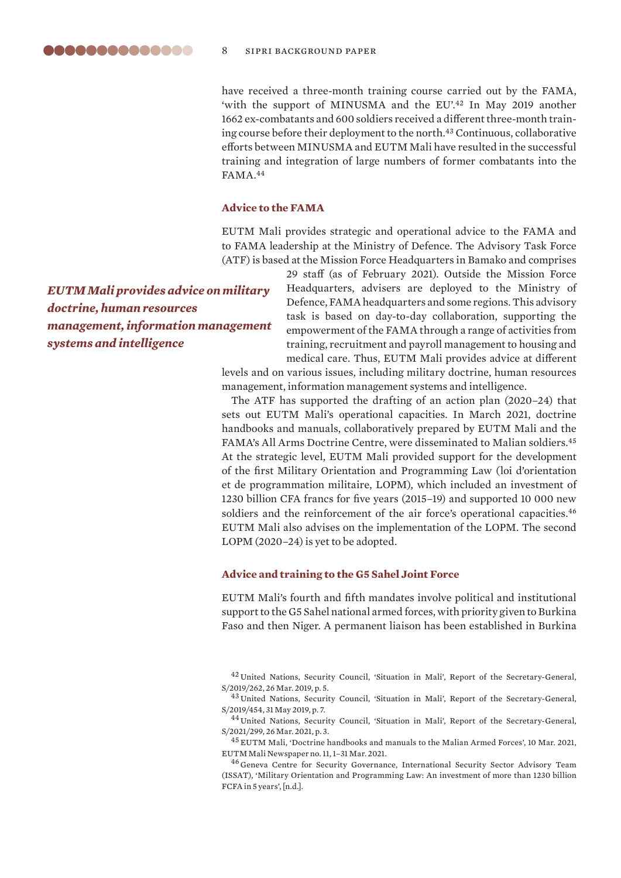<span id="page-7-0"></span>have received a three-month training course carried out by the FAMA, 'with the support of MINUSMA and the EU'.<sup>42</sup> In May 2019 another 1662 ex-combatants and 600 soldiers received a different three-month training course before their deployment to the north.<sup>43</sup> Continuous, collaborative efforts between MINUSMA and EUTM Mali have resulted in the successful training and integration of large numbers of former combatants into the FAMA.<sup>44</sup>

#### **Advice to the FAMA**

EUTM Mali provides strategic and operational advice to the FAMA and to FAMA leadership at the Ministry of Defence. The Advisory Task Force (ATF) is based at the Mission Force Headquarters in Bamako and comprises

*EUTM Mali provides advice on military doctrine, human resources management, information management systems and intelligence*

29 staff (as of February 2021). Outside the Mission Force Headquarters, advisers are deployed to the Ministry of Defence, FAMA headquarters and some regions. This advisory task is based on day-to-day collaboration, supporting the empowerment of the FAMA through a range of activities from training, recruitment and payroll management to housing and medical care. Thus, EUTM Mali provides advice at different levels and on various issues, including military doctrine, human resources management, information management systems and intelligence.

The ATF has supported the drafting of an action plan (2020–24) that sets out EUTM Mali's operational capacities. In March 2021, doctrine handbooks and manuals, collaboratively prepared by EUTM Mali and the FAMA's All Arms Doctrine Centre, were disseminated to Malian soldiers.<sup>45</sup> At the strategic level, EUTM Mali provided support for the development of the first Military Orientation and Programming Law (loi d'orientation et de programmation militaire, LOPM), which included an investment of 1230 billion CFA francs for five years (2015–19) and supported 10 000 new soldiers and the reinforcement of the air force's operational capacities.<sup>46</sup> EUTM Mali also advises on the implementation of the LOPM. The second LOPM (2020–24) is yet to be adopted.

#### **Advice and training to the G5 Sahel Joint Force**

EUTM Mali's fourth and fifth mandates involve political and institutional support to the G5 Sahel national armed forces, with priority given to Burkina Faso and then Niger. A permanent liaison has been established in Burkina

<sup>42</sup> United Nations, Security Council, 'Situation in Mali', Report of the Secretary-General, S/2019/262, 26 Mar. 2019, p. 5.

<sup>43</sup> United Nations, Security Council, 'Situation in Mali', Report of the Secretary-General, S/2019/454, 31 May 2019, p. 7.

<sup>44</sup> United Nations, Security Council, 'Situation in Mali', Report of the Secretary-General, S/2021/299, 26 Mar. 2021, p. 3.

<sup>45</sup> EUTM Mali, '[Doctrine handbooks and manuals to the Malian Armed Forces'](https://eutmmali.eu/eutm-journal/), 10 Mar. 2021, EUTM Mali Newspaper no. 11, 1–31 Mar. 2021.

<sup>46</sup> Geneva Centre for Security Governance, International Security Sector Advisory Team (ISSAT), '[Military Orientation and Programming Law: An investment of more than 1230 billion](https://issat.dcaf.ch/Learn/Resource-Library/Policy-and-Research-Papers/Loi-d-orientation-et-de-programmation-militaire-Un-investissement-de-plus-1-230-milliard-FCFA-en-5-ans)  [FCFA in 5 years'](https://issat.dcaf.ch/Learn/Resource-Library/Policy-and-Research-Papers/Loi-d-orientation-et-de-programmation-militaire-Un-investissement-de-plus-1-230-milliard-FCFA-en-5-ans), [n.d.].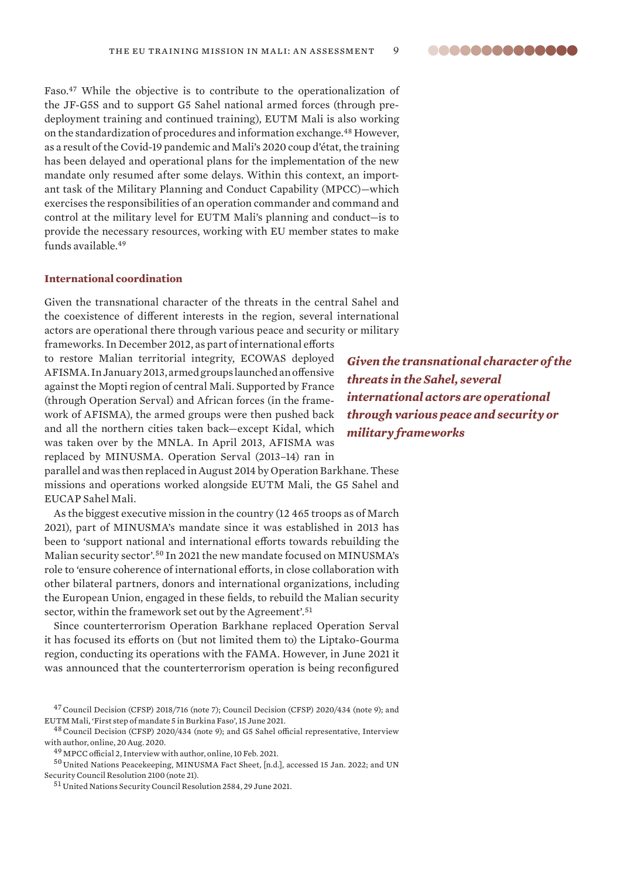<span id="page-8-0"></span>Faso.<sup>47</sup> While the objective is to contribute to the operationalization of the JF-G5S and to support G5 Sahel national armed forces (through predeployment training and continued training), EUTM Mali is also working on the standardization of procedures and information exchange.<sup>48</sup> However, as a result of the Covid-19 pandemic and Mali's 2020 coup d'état, the training has been delayed and operational plans for the implementation of the new mandate only resumed after some delays. Within this context, an important task of the Military Planning and Conduct Capability (MPCC)—which exercises the responsibilities of an operation commander and command and control at the military level for EUTM Mali's planning and conduct—is to provide the necessary resources, working with EU member states to make funds available.<sup>49</sup>

# **International coordination**

Given the transnational character of the threats in the central Sahel and the coexistence of different interests in the region, several international actors are operational there through various peace and security or military

frameworks. In December 2012, as part of international efforts to restore Malian territorial integrity, ECOWAS deployed AFISMA. In January 2013, armed groups launched an offensive against the Mopti region of central Mali. Supported by France (through Operation Serval) and African forces (in the framework of AFISMA), the armed groups were then pushed back and all the northern cities taken back—except Kidal, which was taken over by the MNLA. In April 2013, AFISMA was replaced by MINUSMA. Operation Serval (2013–14) ran in

*Given the transnational character of the threats in the Sahel, several international actors are operational through various peace and security or military frameworks* 

parallel and was then replaced in August 2014 by Operation Barkhane. These missions and operations worked alongside EUTM Mali, the G5 Sahel and EUCAP Sahel Mali.

As the biggest executive mission in the country (12 465 troops as of March 2021), part of MINUSMA's mandate since it was established in 2013 has been to 'support national and international efforts towards rebuilding the Malian security sector'.<sup>50</sup> In 2021 the new mandate focused on MINUSMA's role to 'ensure coherence of international efforts, in close collaboration with other bilateral partners, donors and international organizations, including the European Union, engaged in these fields, to rebuild the Malian security sector, within the framework set out by the Agreement'.<sup>51</sup>

Since counterterrorism Operation Barkhane replaced Operation Serval it has focused its efforts on (but not limited them to) the Liptako-Gourma region, conducting its operations with the FAMA. However, in June 2021 it was announced that the counterterrorism operation is being reconfigured

<sup>48</sup> Council Decision (CFSP) 2020/434 (note 9); and G5 Sahel official representative, Interview with author, online, 20 Aug. 2020.

 $^{50}\!$  United Nations Peacekeeping, [MINUSMA Fact Sheet,](https://peacekeeping.un.org/en/mission/minusma) [n.d.], accessed 15 Jan. 2022; and UN Security Council Resolution 2100 (note 21).

<sup>51</sup> United Nations Security Council Resolution 2584, 29 June 2021.

<sup>&</sup>lt;sup>47</sup> Council Decision (CFSP) 2018/716 (note 7); Council Decision (CFSP) 2020/434 (note 9); and EUTM Mali, ['First step of mandate 5 in Burkina Faso](https://eutmmali.eu/first-steps-of-mandate-5-in-burkina-faso/)', 15 June 2021.

<sup>49</sup> MPCC official 2, Interview with author, online, 10 Feb. 2021.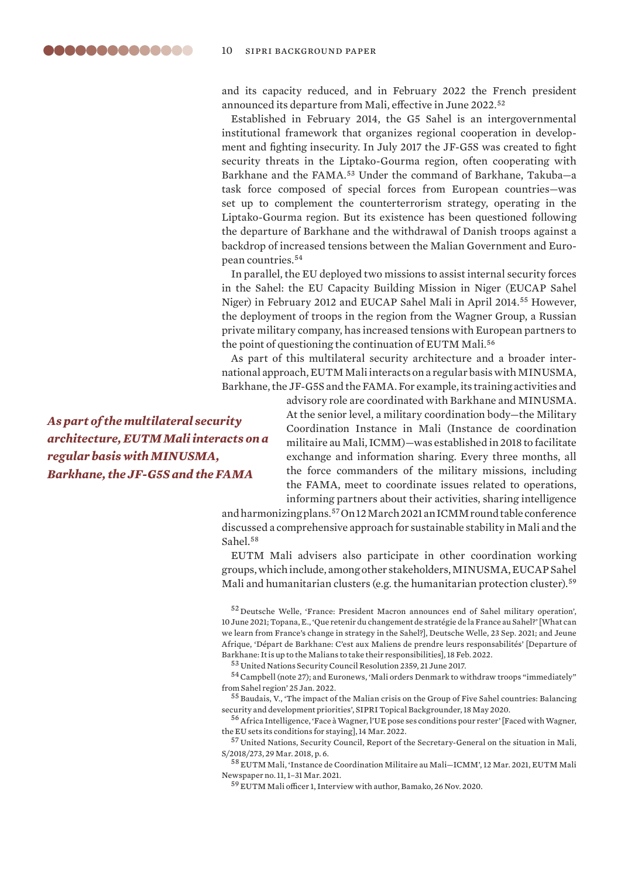and its capacity reduced, and in February 2022 the French president announced its departure from Mali, effective in June 2022.<sup>52</sup>

Established in February 2014, the G5 Sahel is an intergovernmental institutional framework that organizes regional cooperation in development and fighting insecurity. In July 2017 the JF-G5S was created to fight security threats in the Liptako-Gourma region, often cooperating with Barkhane and the FAMA.<sup>53</sup> Under the command of Barkhane, Takuba—a task force composed of special forces from European countries—was set up to complement the counterterrorism strategy, operating in the Liptako-Gourma region. But its existence has been questioned following the departure of Barkhane and the withdrawal of Danish troops against a backdrop of increased tensions between the Malian Government and European countries.<sup>54</sup>

In parallel, the EU deployed two missions to assist internal security forces in the Sahel: the EU Capacity Building Mission in Niger (EUCAP Sahel Niger) in February 2012 and EUCAP Sahel Mali in April 2014.<sup>55</sup> However, the deployment of troops in the region from the Wagner Group, a Russian private military company, has increased tensions with European partners to the point of questioning the continuation of EUTM Mali.<sup>56</sup>

As part of this multilateral security architecture and a broader international approach, EUTM Mali interacts on a regular basis with MINUSMA, Barkhane, the JF-G5S and the FAMA. For example, its training activities and

> advisory role are coordinated with Barkhane and MINUSMA. At the senior level, a military coordination body—the Military Coordination Instance in Mali (Instance de coordination militaire au Mali, ICMM)—was established in 2018 to facilitate exchange and information sharing. Every three months, all the force commanders of the military missions, including the FAMA, meet to coordinate issues related to operations, informing partners about their activities, sharing intelligence

and harmonizing plans.<sup>57</sup> On 12 March 2021 an ICMM round table conference discussed a comprehensive approach for sustainable stability in Mali and the Sahel.<sup>58</sup>

EUTM Mali advisers also participate in other coordination working groups, which include, among other stakeholders, MINUSMA, EUCAP Sahel Mali and humanitarian clusters (e.g. the humanitarian protection cluster).<sup>59</sup>

<sup>53</sup> United Nations Security Council Resolution 2359, 21 June 2017.

 $^{54}$  Campbell (note 27); and Euronews, 'Mali orders Denmark to withdraw troops "immediately" [from Sahel region](https://www.euronews.com/2022/01/25/mali-orders-denmark-to-withdraw-troops-immediately-from-sahel-region)' 25 Jan. 2022.

<sup>55</sup> Baudais, V., '[The impact of the Malian crisis on the Group of Five Sahel countries: Balancing](https://www.sipri.org/commentary/topical-backgrounder/2020/impact-malian-crisis-group-five-sahel-countries-balancing-security-and-development-priorities)  [security and development priorities'](https://www.sipri.org/commentary/topical-backgrounder/2020/impact-malian-crisis-group-five-sahel-countries-balancing-security-and-development-priorities), SIPRI Topical Backgrounder, 18 May 2020.

<sup>56</sup>Africa Intelligence, ['Face à Wagner, l'UE pose ses conditions pour rester](https://www.africaintelligence.fr/afrique-ouest-et-centrale_diplomatie/2022/03/14/face-a-wagner-l-ue-pose-ses-conditions-pour-rester,109739922-art)' [Faced with Wagner, the EU sets its conditions for staying], 14 Mar. 2022.

<sup>57</sup> United Nations, Security Council, Report of the Secretary-General on the situation in Mali, S/2018/273, 29 Mar. 2018, p. 6.

 $^{58}\rm \,EUTM$  Mali, 'Instance de Coordination Militaire au Mali $-{\rm ICMM}$ ', 12 Mar. 2021, EUTM Mali Newspaper no. 11, 1–31 Mar. 2021.

<sup>59</sup> EUTM Mali officer 1, Interview with author, Bamako, 26 Nov. 2020.

*As part of the multilateral security architecture, EUTM Mali interacts on a regular basis with MINUSMA, Barkhane, the JF-G5S and the FAMA*

<sup>52</sup> Deutsche Welle, '[France: President Macron announces end of Sahel military operation](https://www.dw.com/en/france-president-macron-announces-end-of-sahel-military-operation/a-57848169)', 10 June 2021; Topana, E., ['Que retenir du changement de stratégie de la France au Sahel?'](https://www.dw.com/fr/mali-niger-terrorisme-florence-parly-barkhane/a-59255073) [What can we learn from France's change in strategy in the Sahel?], Deutsche Welle, 23 Sep. 2021; and Jeune Afrique, '[Départ de Barkhane: C'est aux Maliens de prendre leurs responsabilités](https://www.jeuneafrique.com/1315410/politique/depart-de-barkhane-cest-aux-maliens-dassumer-leurs-responsabilites/)' [Departure of Barkhane: It is up to the Malians to take their responsibilities], 18 Feb. 2022.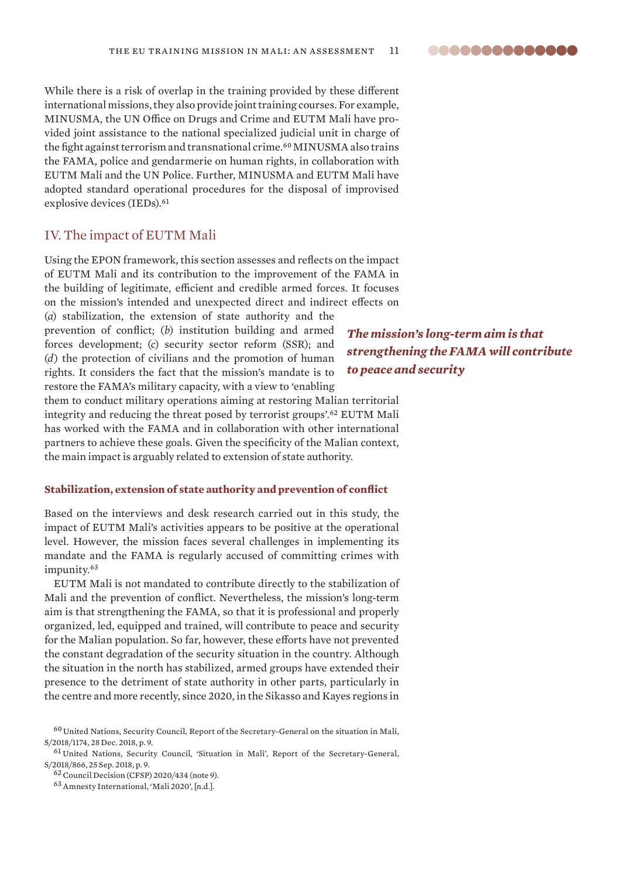<span id="page-10-0"></span>While there is a risk of overlap in the training provided by these different international missions, they also provide joint training courses. For example, MINUSMA, the UN Office on Drugs and Crime and EUTM Mali have provided joint assistance to the national specialized judicial unit in charge of the fight against terrorism and transnational crime.<sup>60</sup> MINUSMA also trains the FAMA, police and gendarmerie on human rights, in collaboration with EUTM Mali and the UN Police. Further, MINUSMA and EUTM Mali have adopted standard operational procedures for the disposal of improvised explosive devices (IEDs).<sup>61</sup>

# IV. The impact of EUTM Mali

Using the EPON framework, this section assesses and reflects on the impact of EUTM Mali and its contribution to the improvement of the FAMA in the building of legitimate, efficient and credible armed forces. It focuses on the mission's intended and unexpected direct and indirect effects on (*a*) stabilization, the extension of state authority and the

prevention of conflict; (*b*) institution building and armed forces development; (*c*) security sector reform (SSR); and (*d*) the protection of civilians and the promotion of human rights. It considers the fact that the mission's mandate is to restore the FAMA's military capacity, with a view to 'enabling

them to conduct military operations aiming at restoring Malian territorial integrity and reducing the threat posed by terrorist groups'.<sup>62</sup> EUTM Mali has worked with the FAMA and in collaboration with other international partners to achieve these goals. Given the specificity of the Malian context, the main impact is arguably related to extension of state authority.

#### **Stabilization, extension of state authority and prevention of conflict**

Based on the interviews and desk research carried out in this study, the impact of EUTM Mali's activities appears to be positive at the operational level. However, the mission faces several challenges in implementing its mandate and the FAMA is regularly accused of committing crimes with impunity.<sup>63</sup>

EUTM Mali is not mandated to contribute directly to the stabilization of Mali and the prevention of conflict. Nevertheless, the mission's long-term aim is that strengthening the FAMA, so that it is professional and properly organized, led, equipped and trained, will contribute to peace and security for the Malian population. So far, however, these efforts have not prevented the constant degradation of the security situation in the country. Although the situation in the north has stabilized, armed groups have extended their presence to the detriment of state authority in other parts, particularly in the centre and more recently, since 2020, in the Sikasso and Kayes regions in

*The mission's long-term aim is that strengthening the FAMA will contribute to peace and security*

<sup>&</sup>lt;sup>60</sup> United Nations, Security Council, Report of the Secretary-General on the situation in Mali, S/2018/1174, 28 Dec. 2018, p. 9.

<sup>61</sup> United Nations, Security Council, 'Situation in Mali', Report of the Secretary-General, S/2018/866, 25 Sep. 2018, p. 9.

<sup>62</sup>Council Decision (CFSP) 2020/434 (note 9).

<sup>63</sup>Amnesty International, '[Mali 2020'](https://www.amnesty.org/en/location/africa/west-and-central-africa/mali/report-mali/), [n.d.].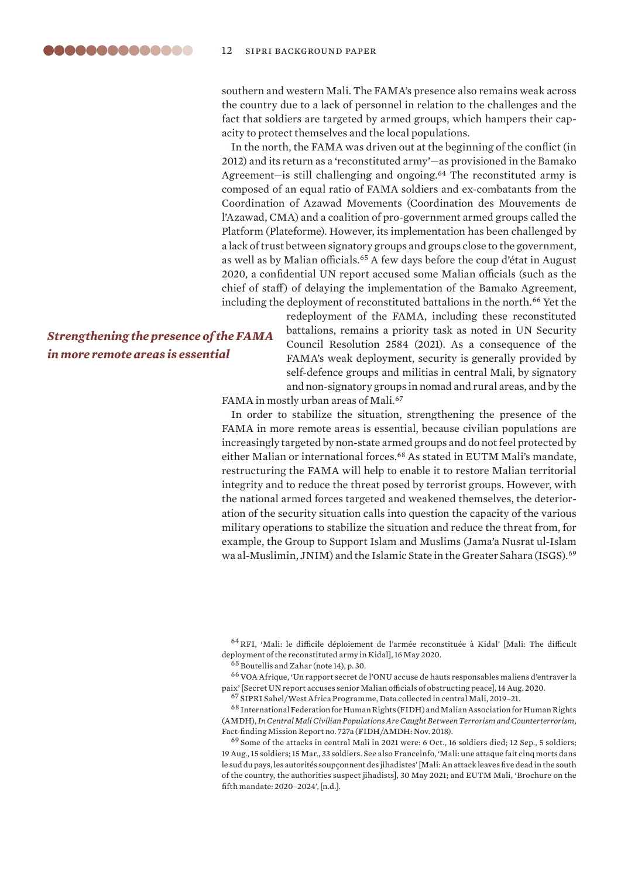<span id="page-11-0"></span>southern and western Mali. The FAMA's presence also remains weak across the country due to a lack of personnel in relation to the challenges and the fact that soldiers are targeted by armed groups, which hampers their capacity to protect themselves and the local populations.

In the north, the FAMA was driven out at the beginning of the conflict (in 2012) and its return as a 'reconstituted army'—as provisioned in the Bamako Agreement-is still challenging and ongoing.<sup>64</sup> The reconstituted army is composed of an equal ratio of FAMA soldiers and ex-combatants from the Coordination of Azawad Movements (Coordination des Mouvements de l'Azawad, CMA) and a coalition of pro-government armed groups called the Platform (Plateforme). However, its implementation has been challenged by a lack of trust between signatory groups and groups close to the government, as well as by Malian officials.<sup>65</sup> A few days before the coup d'état in August 2020, a confidential UN report accused some Malian officials (such as the chief of staff) of delaying the implementation of the Bamako Agreement, including the deployment of reconstituted battalions in the north.<sup>66</sup> Yet the

# *Strengthening the presence of the FAMA in more remote areas is essential*

redeployment of the FAMA, including these reconstituted battalions, remains a priority task as noted in UN Security Council Resolution 2584 (2021). As a consequence of the FAMA's weak deployment, security is generally provided by self-defence groups and militias in central Mali, by signatory and non-signatory groups in nomad and rural areas, and by the

FAMA in mostly urban areas of Mali.<sup>67</sup>

In order to stabilize the situation, strengthening the presence of the FAMA in more remote areas is essential, because civilian populations are increasingly targeted by non-state armed groups and do not feel protected by either Malian or international forces.<sup>68</sup> As stated in EUTM Mali's mandate, restructuring the FAMA will help to enable it to restore Malian territorial integrity and to reduce the threat posed by terrorist groups. However, with the national armed forces targeted and weakened themselves, the deterioration of the security situation calls into question the capacity of the various military operations to stabilize the situation and reduce the threat from, for example, the Group to Support Islam and Muslims (Jama'a Nusrat ul-Islam wa al-Muslimin, JNIM) and the Islamic State in the Greater Sahara (ISGS).<sup>69</sup>

<sup>64</sup>RFI, '[Mali: le difficile déploiement de l'armée reconstituée à Kidal'](https://www.rfi.fr/fr/afrique/20200515-mali-difficile-deploiement-arm%C3%A9e-reconstitu%C3%A9e-%C3%A0-kidal) [Mali: The difficult deployment of the reconstituted army in Kidal], 16 May 2020.

 $^{66}\rm VOA$  Afrique, 'Un rapport secret de l'ONU accuse de hauts responsables maliens d'entraver la [paix](https://www.voaafrique.com/a/mali-onu-de-hauts-responsables-accus%C3%A9s-d-obstruction-du-processus-de-paix/5543440.html)' [Secret UN report accuses senior Malian officials of obstructing peace], 14 Aug. 2020.

<sup>68</sup> International Federation for Human Rights (FIDH) and Malian Association for Human Rights (AMDH), *In Central Mali Civilian Populations Are Caught Between Terrorism and Counterterrorism*, Fact-finding Mission Report no. 727a (FIDH/AMDH: Nov. 2018).

<sup>69</sup> Some of the attacks in central Mali in 2021 were: 6 Oct., 16 soldiers died; 12 Sep., 5 soldiers; 19 Aug., 15 soldiers; 15 Mar., 33 soldiers. See also Franceinfo, '[Mali: une attaque fait cinq morts dans](https://www.francetvinfo.fr/monde/afrique/mali/mali-une-attaque-fait-cinq-morts-dans-le-sud-du-pays-les-autorites-soupconnent-des-jihadistes_4643633.html)  [le sud du pays, les autorités soupçonnent des jihadistes'](https://www.francetvinfo.fr/monde/afrique/mali/mali-une-attaque-fait-cinq-morts-dans-le-sud-du-pays-les-autorites-soupconnent-des-jihadistes_4643633.html) [Mali: An attack leaves five dead in the south of the country, the authorities suspect jihadists], 30 May 2021; and EUTM Mali, '[Brochure on the](https://eutmmali.eu/wp-content/uploads/2021/06/Brochure-ENG-final-version.pdf)  [fifth mandate: 2020–2024'](https://eutmmali.eu/wp-content/uploads/2021/06/Brochure-ENG-final-version.pdf), [n.d.].

 $65$  Boutellis and Zahar (note 14), p. 30.

<sup>67</sup> SIPRI Sahel/West Africa Programme, Data collected in central Mali, 2019–21.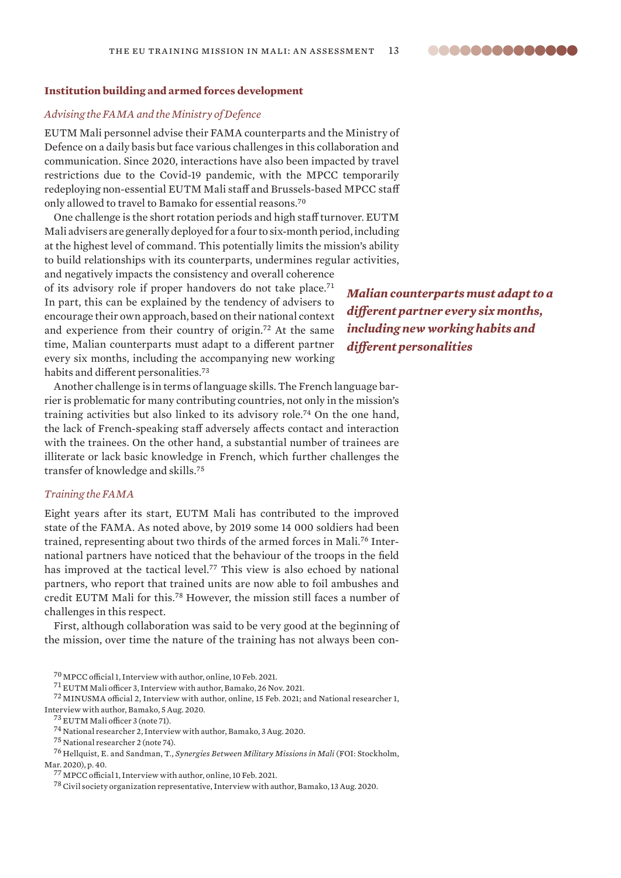# **Institution building and armed forces development**

# *Advising the FAMA and the Ministry of Defence*

EUTM Mali personnel advise their FAMA counterparts and the Ministry of Defence on a daily basis but face various challenges in this collaboration and communication. Since 2020, interactions have also been impacted by travel restrictions due to the Covid-19 pandemic, with the MPCC temporarily redeploying non-essential EUTM Mali staff and Brussels-based MPCC staff only allowed to travel to Bamako for essential reasons.<sup>70</sup>

One challenge is the short rotation periods and high staff turnover. EUTM Mali advisers are generally deployed for a four to six-month period, including at the highest level of command. This potentially limits the mission's ability to build relationships with its counterparts, undermines regular activities,

and negatively impacts the consistency and overall coherence of its advisory role if proper handovers do not take place.<sup>71</sup> In part, this can be explained by the tendency of advisers to encourage their own approach, based on their national context and experience from their country of origin.<sup>72</sup> At the same time, Malian counterparts must adapt to a different partner every six months, including the accompanying new working habits and different personalities.<sup>73</sup>

*Malian counterparts must adapt to a different partner every six months, including new working habits and different personalities*

..............

Another challenge is in terms of language skills. The French language barrier is problematic for many contributing countries, not only in the mission's training activities but also linked to its advisory role.<sup>74</sup> On the one hand, the lack of French-speaking staff adversely affects contact and interaction with the trainees. On the other hand, a substantial number of trainees are illiterate or lack basic knowledge in French, which further challenges the transfer of knowledge and skills.<sup>75</sup>

#### *Training the FAMA*

Eight years after its start, EUTM Mali has contributed to the improved state of the FAMA. As noted above, by 2019 some 14 000 soldiers had been trained, representing about two thirds of the armed forces in Mali.76 International partners have noticed that the behaviour of the troops in the field has improved at the tactical level.<sup>77</sup> This view is also echoed by national partners, who report that trained units are now able to foil ambushes and credit EUTM Mali for this.<sup>78</sup> However, the mission still faces a number of challenges in this respect.

First, although collaboration was said to be very good at the beginning of the mission, over time the nature of the training has not always been con-

<sup>71</sup> EUTM Mali officer 3, Interview with author, Bamako, 26 Nov. 2021.

<sup>72</sup> MINUSMA official 2, Interview with author, online, 15 Feb. 2021; and National researcher 1, Interview with author, Bamako, 5 Aug. 2020.

<sup>73</sup> EUTM Mali officer 3 (note 71).

 $^{78}$  Civil society organization representative, Interview with author, Bamako, 13 Aug. 2020.

<sup>70</sup> MPCC official 1, Interview with author, online, 10 Feb. 2021.

<sup>74</sup> National researcher 2, Interview with author, Bamako, 3 Aug. 2020.

<sup>75</sup> National researcher 2 (note 74).

<sup>76</sup> Hellquist, E. and Sandman, T., *Synergies Between Military Missions in Mali* (FOI: Stockholm, Mar. 2020), p. 40.

<sup>77</sup> MPCC official 1, Interview with author, online, 10 Feb. 2021.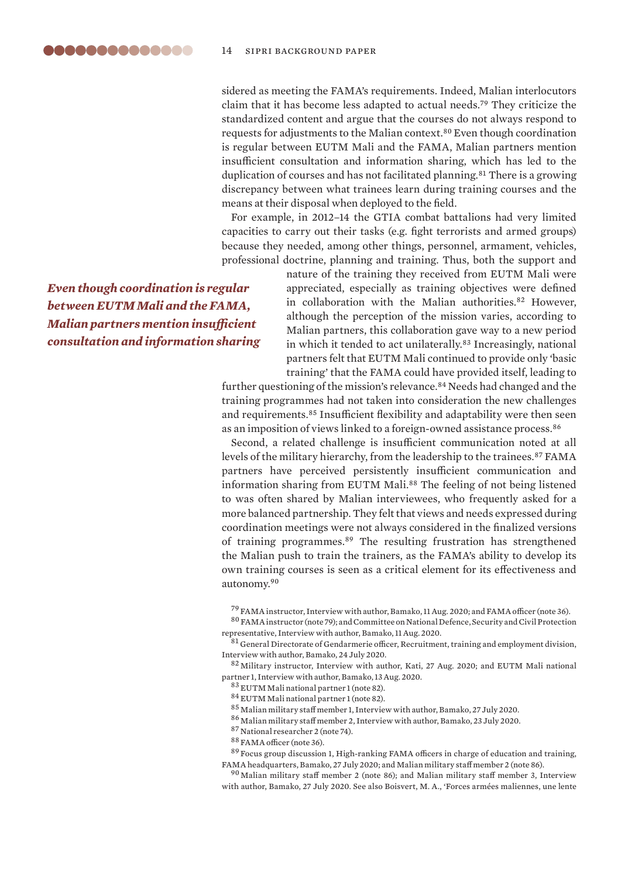sidered as meeting the FAMA's requirements. Indeed, Malian interlocutors claim that it has become less adapted to actual needs.<sup>79</sup> They criticize the standardized content and argue that the courses do not always respond to requests for adjustments to the Malian context.<sup>80</sup> Even though coordination is regular between EUTM Mali and the FAMA, Malian partners mention insufficient consultation and information sharing, which has led to the duplication of courses and has not facilitated planning.<sup>81</sup> There is a growing discrepancy between what trainees learn during training courses and the means at their disposal when deployed to the field.

For example, in 2012–14 the GTIA combat battalions had very limited capacities to carry out their tasks (e.g. fight terrorists and armed groups) because they needed, among other things, personnel, armament, vehicles, professional doctrine, planning and training. Thus, both the support and

*Even though coordination is regular between EUTM Mali and the FAMA, Malian partners mention insufficient consultation and information sharing* nature of the training they received from EUTM Mali were appreciated, especially as training objectives were defined in collaboration with the Malian authorities.<sup>82</sup> However, although the perception of the mission varies, according to Malian partners, this collaboration gave way to a new period in which it tended to act unilaterally.<sup>83</sup> Increasingly, national partners felt that EUTM Mali continued to provide only 'basic training' that the FAMA could have provided itself, leading to

further questioning of the mission's relevance.<sup>84</sup> Needs had changed and the training programmes had not taken into consideration the new challenges and requirements.<sup>85</sup> Insufficient flexibility and adaptability were then seen as an imposition of views linked to a foreign-owned assistance process.<sup>86</sup>

Second, a related challenge is insufficient communication noted at all levels of the military hierarchy, from the leadership to the trainees.<sup>87</sup> FAMA partners have perceived persistently insufficient communication and information sharing from EUTM Mali.<sup>88</sup> The feeling of not being listened to was often shared by Malian interviewees, who frequently asked for a more balanced partnership. They felt that views and needs expressed during coordination meetings were not always considered in the finalized versions of training programmes.<sup>89</sup> The resulting frustration has strengthened the Malian push to train the trainers, as the FAMA's ability to develop its own training courses is seen as a critical element for its effectiveness and autonomy.<sup>90</sup>

<sup>79</sup> FAMA instructor, Interview with author, Bamako, 11 Aug. 2020; and FAMA officer (note 36).

 $^{80}\rm~FAMA$  instructor (note 79); and Committee on National Defence, Security and Civil Protection representative, Interview with author, Bamako, 11 Aug. 2020.

<sup>81</sup> General Directorate of Gendarmerie officer, Recruitment, training and employment division, Interview with author, Bamako, 24 July 2020.

<sup>82</sup> Military instructor, Interview with author, Kati, 27 Aug. 2020; and EUTM Mali national partner 1, Interview with author, Bamako, 13 Aug. 2020.

<sup>83</sup> EUTM Mali national partner 1 (note 82).

<sup>84</sup> EUTM Mali national partner 1 (note 82).

<sup>85</sup> Malian military staff member 1, Interview with author, Bamako, 27 July 2020.

 $^{86}\rm$  Malian military staff member 2, Interview with author, Bamako, 23 July 2020.

<sup>87</sup> National researcher 2 (note 74).

<sup>88</sup> FAMA officer (note 36).

<sup>89</sup> Focus group discussion 1, High-ranking FAMA officers in charge of education and training, FAMA headquarters, Bamako, 27 July 2020; and Malian military staff member 2 (note 86).

<sup>90</sup> Malian military staff member 2 (note 86); and Malian military staff member 3, Interview with author, Bamako, 27 July 2020. See also Boisvert, M. A., 'Forces armées maliennes, une lente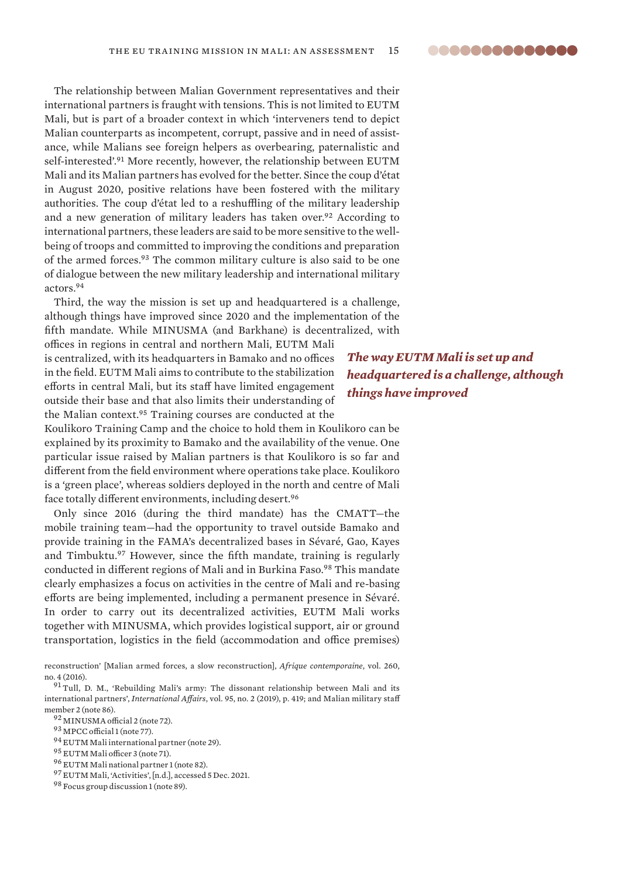The relationship between Malian Government representatives and their international partners is fraught with tensions. This is not limited to EUTM Mali, but is part of a broader context in which 'interveners tend to depict Malian counterparts as incompetent, corrupt, passive and in need of assistance, while Malians see foreign helpers as overbearing, paternalistic and self-interested'.<sup>91</sup> More recently, however, the relationship between EUTM Mali and its Malian partners has evolved for the better. Since the coup d'état in August 2020, positive relations have been fostered with the military authorities. The coup d'état led to a reshuffling of the military leadership and a new generation of military leaders has taken over.<sup>92</sup> According to international partners, these leaders are said to be more sensitive to the wellbeing of troops and committed to improving the conditions and preparation of the armed forces.<sup>93</sup> The common military culture is also said to be one of dialogue between the new military leadership and international military actors.<sup>94</sup>

Third, the way the mission is set up and headquartered is a challenge, although things have improved since 2020 and the implementation of the fifth mandate. While MINUSMA (and Barkhane) is decentralized, with

offices in regions in central and northern Mali, EUTM Mali is centralized, with its headquarters in Bamako and no offices in the field. EUTM Mali aims to contribute to the stabilization efforts in central Mali, but its staff have limited engagement outside their base and that also limits their understanding of the Malian context.<sup>95</sup> Training courses are conducted at the

Koulikoro Training Camp and the choice to hold them in Koulikoro can be explained by its proximity to Bamako and the availability of the venue. One particular issue raised by Malian partners is that Koulikoro is so far and different from the field environment where operations take place. Koulikoro is a 'green place', whereas soldiers deployed in the north and centre of Mali face totally different environments, including desert.<sup>96</sup>

Only since 2016 (during the third mandate) has the CMATT—the mobile training team—had the opportunity to travel outside Bamako and provide training in the FAMA's decentralized bases in Sévaré, Gao, Kayes and Timbuktu.<sup>97</sup> However, since the fifth mandate, training is regularly conducted in different regions of Mali and in Burkina Faso.<sup>98</sup> This mandate clearly emphasizes a focus on activities in the centre of Mali and re-basing efforts are being implemented, including a permanent presence in Sévaré. In order to carry out its decentralized activities, EUTM Mali works together with MINUSMA, which provides logistical support, air or ground transportation, logistics in the field (accommodation and office premises)

reconstruction' [Malian armed forces, a slow reconstruction], *Afrique contemporaine*, vol. 260, no. 4 (2016).

<sup>91</sup> Tull, D. M., 'Rebuilding Mali's army: The dissonant relationship between Mali and its international partners', *International Affairs*, vol. 95, no. 2 (2019), p. 419; and Malian military staff member 2 (note 86).

<sup>92</sup> MINUSMA official 2 (note 72).

<sup>93</sup> MPCC official 1 (note 77).

- <sup>94</sup> EUTM Mali international partner (note 29).
- <sup>95</sup> EUTM Mali officer 3 (note 71).
- <sup>96</sup> EUTM Mali national partner 1 (note 82).
- <sup>97</sup> EUTM Mali, ['Activities](https://eutmmali.eu/activites)', [n.d.], accessed 5 Dec. 2021.

<sup>98</sup> Focus group discussion 1 (note 89).

*The way EUTM Mali is set up and headquartered is a challenge, although things have improved*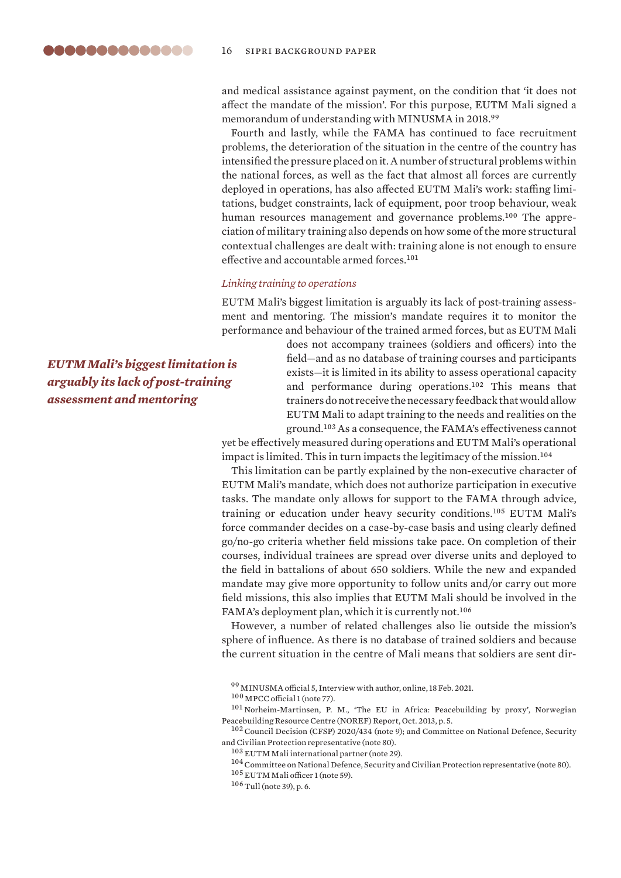and medical assistance against payment, on the condition that 'it does not affect the mandate of the mission'. For this purpose, EUTM Mali signed a memorandum of understanding with MINUSMA in 2018.99

Fourth and lastly, while the FAMA has continued to face recruitment problems, the deterioration of the situation in the centre of the country has intensified the pressure placed on it. A number of structural problems within the national forces, as well as the fact that almost all forces are currently deployed in operations, has also affected EUTM Mali's work: staffing limitations, budget constraints, lack of equipment, poor troop behaviour, weak human resources management and governance problems.<sup>100</sup> The appreciation of military training also depends on how some of the more structural contextual challenges are dealt with: training alone is not enough to ensure effective and accountable armed forces.<sup>101</sup>

#### *Linking training to operations*

EUTM Mali's biggest limitation is arguably its lack of post-training assessment and mentoring. The mission's mandate requires it to monitor the performance and behaviour of the trained armed forces, but as EUTM Mali

> does not accompany trainees (soldiers and officers) into the field—and as no database of training courses and participants exists—it is limited in its ability to assess operational capacity and performance during operations.<sup>102</sup> This means that trainers do not receive the necessary feedback that would allow EUTM Mali to adapt training to the needs and realities on the ground.<sup>103</sup> As a consequence, the FAMA's effectiveness cannot

yet be effectively measured during operations and EUTM Mali's operational impact is limited. This in turn impacts the legitimacy of the mission.<sup>104</sup>

This limitation can be partly explained by the non-executive character of EUTM Mali's mandate, which does not authorize participation in executive tasks. The mandate only allows for support to the FAMA through advice, training or education under heavy security conditions.<sup>105</sup> EUTM Mali's force commander decides on a case-by-case basis and using clearly defined go/no-go criteria whether field missions take pace. On completion of their courses, individual trainees are spread over diverse units and deployed to the field in battalions of about 650 soldiers. While the new and expanded mandate may give more opportunity to follow units and/or carry out more field missions, this also implies that EUTM Mali should be involved in the FAMA's deployment plan, which it is currently not.<sup>106</sup>

However, a number of related challenges also lie outside the mission's sphere of influence. As there is no database of trained soldiers and because the current situation in the centre of Mali means that soldiers are sent dir-

<sup>99</sup> MINUSMA official 5, Interview with author, online, 18 Feb. 2021.

*EUTM Mali's biggest limitation is arguably its lack of post-training assessment and mentoring*

<sup>100</sup> MPCC official 1 (note 77).

<sup>101</sup> Norheim-Martinsen, P. M., 'The EU in Africa: Peacebuilding by proxy', Norwegian Peacebuilding Resource Centre (NOREF) Report, Oct. 2013, p. 5.

<sup>&</sup>lt;sup>102</sup> Council Decision (CFSP) 2020/434 (note 9); and Committee on National Defence, Security and Civilian Protection representative (note 80).

<sup>103</sup> EUTM Mali international partner (note 29).

 $^{104}$  Committee on National Defence, Security and Civilian Protection representative (note 80).

<sup>105</sup> EUTM Mali officer 1 (note 59).

 $^{106}\!\!\operatorname{Tull}$  (note 39), p. 6.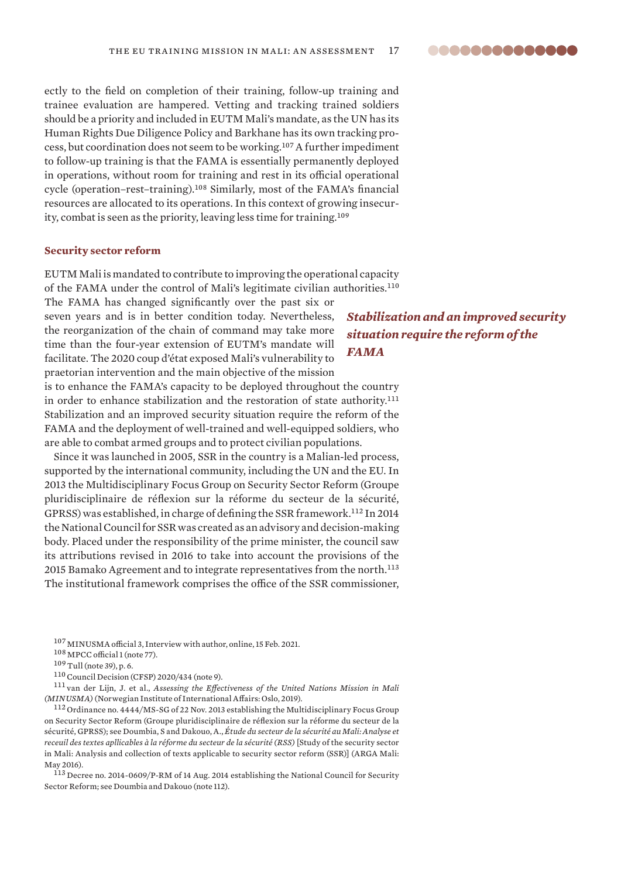<span id="page-16-0"></span>ectly to the field on completion of their training, follow-up training and trainee evaluation are hampered. Vetting and tracking trained soldiers should be a priority and included in EUTM Mali's mandate, as the UN has its Human Rights Due Diligence Policy and Barkhane has its own tracking process, but coordination does not seem to be working.<sup>107</sup> A further impediment to follow-up training is that the FAMA is essentially permanently deployed in operations, without room for training and rest in its official operational cycle (operation–rest–training).<sup>108</sup> Similarly, most of the FAMA's financial resources are allocated to its operations. In this context of growing insecurity, combat is seen as the priority, leaving less time for training.<sup>109</sup>

#### **Security sector reform**

EUTM Mali is mandated to contribute to improving the operational capacity of the FAMA under the control of Mali's legitimate civilian authorities.<sup>110</sup>

The FAMA has changed significantly over the past six or seven years and is in better condition today. Nevertheless, the reorganization of the chain of command may take more time than the four-year extension of EUTM's mandate will facilitate. The 2020 coup d'état exposed Mali's vulnerability to praetorian intervention and the main objective of the mission is to enhance the FAMA's capacity to be deployed throughout the country

in order to enhance stabilization and the restoration of state authority.<sup>111</sup> Stabilization and an improved security situation require the reform of the FAMA and the deployment of well-trained and well-equipped soldiers, who are able to combat armed groups and to protect civilian populations.

Since it was launched in 2005, SSR in the country is a Malian-led process, supported by the international community, including the UN and the EU. In 2013 the Multidisciplinary Focus Group on Security Sector Reform (Groupe pluridisciplinaire de réflexion sur la réforme du secteur de la sécurité, GPRSS)was established, in charge of defining the SSR framework.<sup>112</sup> In 2014 the National Council for SSR was created as an advisory and decision-making body. Placed under the responsibility of the prime minister, the council saw its attributions revised in 2016 to take into account the provisions of the 2015 Bamako Agreement and to integrate representatives from the north.<sup>113</sup> The institutional framework comprises the office of the SSR commissioner,

<sup>108</sup> MPCC official 1 (note 77).

 $^{109}\!\,$  Tull (note 39), p. 6.

<sup>110</sup>Council Decision (CFSP) 2020/434 (note 9).

<sup>111</sup> van der Lijn, J. et al., *Assessing the Effectiveness of the United Nations Mission in Mali (MINUSMA)* (Norwegian Institute of International Affairs: Oslo, 2019).

<sup>112</sup> Ordinance no. 4444/MS-SG of 22 Nov. 2013 establishing the Multidisciplinary Focus Group on Security Sector Reform (Groupe pluridisciplinaire de réflexion sur la réforme du secteur de la sécurité, GPRSS); see Doumbia, S and Dakouo, A., *Étude du secteur de la sécurité au Mali: Analyse et receuil des textes apllicables à la réforme du secteur de la sécurité (RSS)* [Study of the security sector in Mali: Analysis and collection of texts applicable to security sector reform (SSR)] (ARGA Mali: May 2016).

<sup>113</sup> Decree no. 2014-0609/P-RM of 14 Aug. 2014 establishing the National Council for Security Sector Reform; see Doumbia and Dakouo (note 112).

# *Stabilization and an improved security situation require the reform of the FAMA*

<sup>107</sup> MINUSMA official 3, Interview with author, online, 15 Feb. 2021.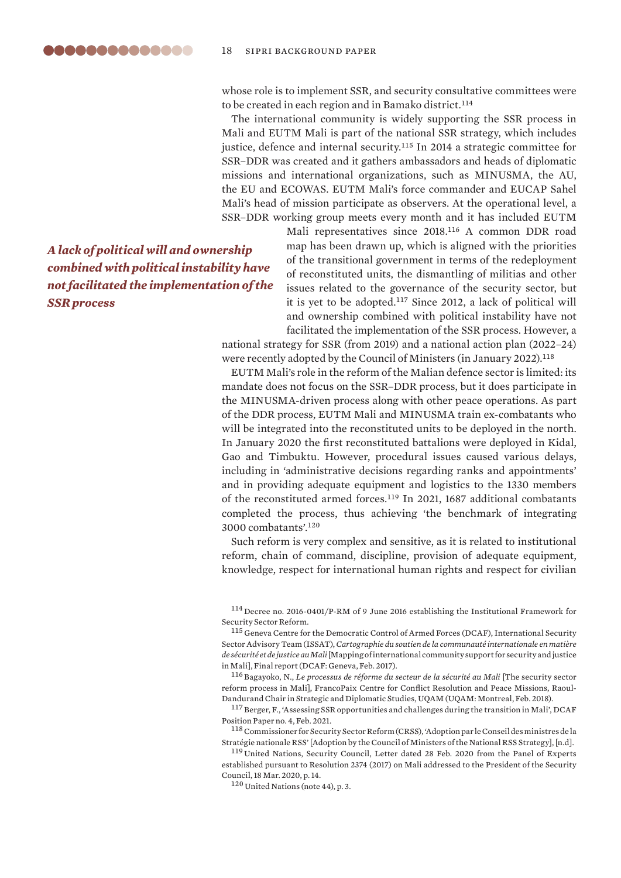whose role is to implement SSR, and security consultative committees were to be created in each region and in Bamako district.<sup>114</sup>

The international community is widely supporting the SSR process in Mali and EUTM Mali is part of the national SSR strategy, which includes justice, defence and internal security.<sup>115</sup> In 2014 a strategic committee for SSR–DDR was created and it gathers ambassadors and heads of diplomatic missions and international organizations, such as MINUSMA, the AU, the EU and ECOWAS. EUTM Mali's force commander and EUCAP Sahel Mali's head of mission participate as observers. At the operational level, a SSR–DDR working group meets every month and it has included EUTM

> Mali representatives since 2018.<sup>116</sup> A common DDR road map has been drawn up, which is aligned with the priorities of the transitional government in terms of the redeployment of reconstituted units, the dismantling of militias and other issues related to the governance of the security sector, but it is yet to be adopted.<sup>117</sup> Since 2012, a lack of political will and ownership combined with political instability have not facilitated the implementation of the SSR process. However, a

national strategy for SSR (from 2019) and a national action plan (2022–24) were recently adopted by the Council of Ministers (in January 2022).<sup>118</sup>

EUTM Mali's role in the reform of the Malian defence sector is limited: its mandate does not focus on the SSR–DDR process, but it does participate in the MINUSMA-driven process along with other peace operations. As part of the DDR process, EUTM Mali and MINUSMA train ex-combatants who will be integrated into the reconstituted units to be deployed in the north. In January 2020 the first reconstituted battalions were deployed in Kidal, Gao and Timbuktu. However, procedural issues caused various delays, including in 'administrative decisions regarding ranks and appointments' and in providing adequate equipment and logistics to the 1330 members of the reconstituted armed forces.<sup>119</sup> In 2021, 1687 additional combatants completed the process, thus achieving 'the benchmark of integrating 3000 combatants'.<sup>120</sup>

Such reform is very complex and sensitive, as it is related to institutional reform, chain of command, discipline, provision of adequate equipment, knowledge, respect for international human rights and respect for civilian

<sup>119</sup> United Nations, Security Council, Letter dated 28 Feb. 2020 from the Panel of Experts established pursuant to Resolution 2374 (2017) on Mali addressed to the President of the Security Council, 18 Mar. 2020, p. 14.

<sup>120</sup> United Nations (note 44), p. 3.

*A lack of political will and ownership combined with political instability have not facilitated the implementation of the SSR process*

<sup>114</sup> [Decree no. 2016-0401/P-RM of 9 June 2016 establishing the Institutional Framework for](https://www.ilo.org/dyn/natlex/docs/ELECTRONIC/108644/134404/F558725194/MLI-108644.pdf)  [Security Sector Refor](https://www.ilo.org/dyn/natlex/docs/ELECTRONIC/108644/134404/F558725194/MLI-108644.pdf)m.

<sup>115</sup> Geneva Centre for the Democratic Control of Armed Forces (DCAF), International Security Sector Advisory Team (ISSAT), *Cartographie du soutien de la communauté internationale en matière de sécurité et de justice au Mali* [Mapping of international community support for security and justice in Mali], Final report (DCAF: Geneva, Feb. 2017).

<sup>116</sup> Bagayoko, N., *[Le processus de réforme du secteur de la sécurité au Mali](https://dandurand.uqam.ca/wp-content/uploads/2018/02/2018_02_Rapport-Bagayoko_CFP.pdf)* [The security sector reform process in Mali], FrancoPaix Centre for Conflict Resolution and Peace Missions, Raoul-Dandurand Chair in Strategic and Diplomatic Studies, UQAM (UQAM: Montreal, Feb. 2018).

<sup>&</sup>lt;sup>117</sup> Berger, F., ['Assessing SSR opportunities and challenges during the transition in Mali'](https://www.dcaf.ch/sites/default/files/imce/Mali_transition_SSR_opportunities_and_challenges_v5-2.pdf), DCAF Position Paper no. 4, Feb. 2021.

<sup>&</sup>lt;sup>118</sup> Commissioner for Security Sector Reform (CRSS), 'Adoption par le Conseil des ministres de la [Stratégie nationale RSS](https://crss.gouv.ml/adoptions-par-le-conseil-des-ministres-de-la-strategie-nationale-rss/?fbclid=IwAR3L54Y8xl8sMA4b0EnXB8AoabEPlRq2qKyOCYIkkjJNSt2vEBNv4v2TkFs)' [Adoption by the Council of Ministers of the National RSS Strategy], [n.d].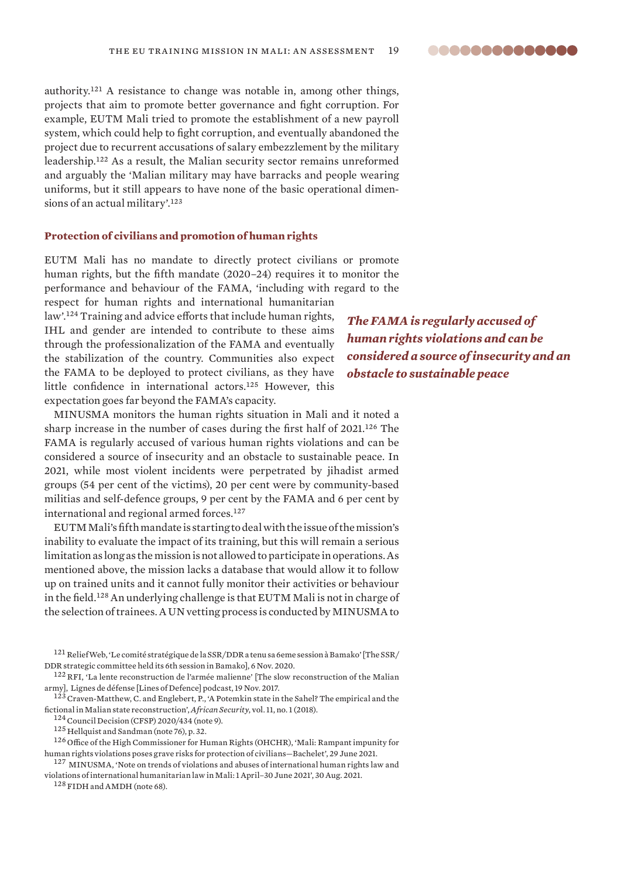<span id="page-18-0"></span>authority.<sup>121</sup> A resistance to change was notable in, among other things, projects that aim to promote better governance and fight corruption. For example, EUTM Mali tried to promote the establishment of a new payroll system, which could help to fight corruption, and eventually abandoned the project due to recurrent accusations of salary embezzlement by the military leadership.<sup>122</sup> As a result, the Malian security sector remains unreformed and arguably the 'Malian military may have barracks and people wearing uniforms, but it still appears to have none of the basic operational dimensions of an actual military'.<sup>123</sup>

# **Protection of civilians and promotion of human rights**

EUTM Mali has no mandate to directly protect civilians or promote human rights, but the fifth mandate (2020–24) requires it to monitor the performance and behaviour of the FAMA, 'including with regard to the

respect for human rights and international humanitarian law'.<sup>124</sup> Training and advice efforts that include human rights, IHL and gender are intended to contribute to these aims through the professionalization of the FAMA and eventually the stabilization of the country. Communities also expect the FAMA to be deployed to protect civilians, as they have little confidence in international actors.<sup>125</sup> However, this expectation goes far beyond the FAMA's capacity.

MINUSMA monitors the human rights situation in Mali and it noted a sharp increase in the number of cases during the first half of 2021.<sup>126</sup> The FAMA is regularly accused of various human rights violations and can be considered a source of insecurity and an obstacle to sustainable peace. In 2021, while most violent incidents were perpetrated by jihadist armed groups (54 per cent of the victims), 20 per cent were by community-based militias and self-defence groups, 9 per cent by the FAMA and 6 per cent by international and regional armed forces.<sup>127</sup>

EUTM Mali's fifth mandate is starting to deal with the issue of the mission's inability to evaluate the impact of its training, but this will remain a serious limitation as long as the mission is not allowed to participate in operations. As mentioned above, the mission lacks a database that would allow it to follow up on trained units and it cannot fully monitor their activities or behaviour in the field.<sup>128</sup> An underlying challenge is that EUTM Mali is not in charge of the selection of trainees. A UN vetting process is conducted by MINUSMA to

128 FIDH and AMDH (note 68).

*The FAMA is regularly accused of human rights violations and can be considered a source of insecurity and an obstacle to sustainable peace*

<sup>121</sup>ReliefWeb, ['Le comité stratégique de la SSR/DDR a tenu sa 6eme session à Bamako'](https://reliefweb.int/report/mali/le-comit-strat-gique-de-la-ssrddr-tenu-sa-6eme-session-bamako) [The SSR/ DDR strategic committee held its 6th session in Bamako], 6 Nov. 2020.

<sup>122</sup>RFI, ['La lente reconstruction de l'armée malienne](https://www.rfi.fr/fr/emission/20171119-lente-reconstruction-armee-malienne)' [The slow reconstruction of the Malian army], Lignes de défense [Lines of Defence] podcast, 19 Nov. 2017.

<sup>&</sup>lt;sup>123</sup> Craven-Matthew, C. and Englebert, P., 'A Potemkin state in the Sahel? The empirical and the fictional in Malian state reconstruction', *African Security*, vol. 11, no. 1 (2018).

<sup>&</sup>lt;sup>124</sup> Council Decision (CFSP) 2020/434 (note 9).

<sup>125</sup> Hellquist and Sandman (note 76), p. 32.

<sup>126</sup> Office of the High Commissioner for Human Rights (OHCHR), '[Mali: Rampant impunity for](https://www.ohchr.org/EN/NewsEvents/Pages/DisplayNews.aspx?NewsID=27232&LangID=E)  [human rights violations poses grave risks for protection of civilians—Bachelet](https://www.ohchr.org/EN/NewsEvents/Pages/DisplayNews.aspx?NewsID=27232&LangID=E)', 29 June 2021.

<sup>&</sup>lt;sup>127</sup> MINUSMA, 'Note on trends of violations and abuses of international human rights law and [violations of international humanitarian law in Mali: 1 April–30 June 2021'](https://minusma.unmissions.org/en/note-trends-violations-and-abuses-international-human-rights-law-and-violations-international), 30 Aug. 2021.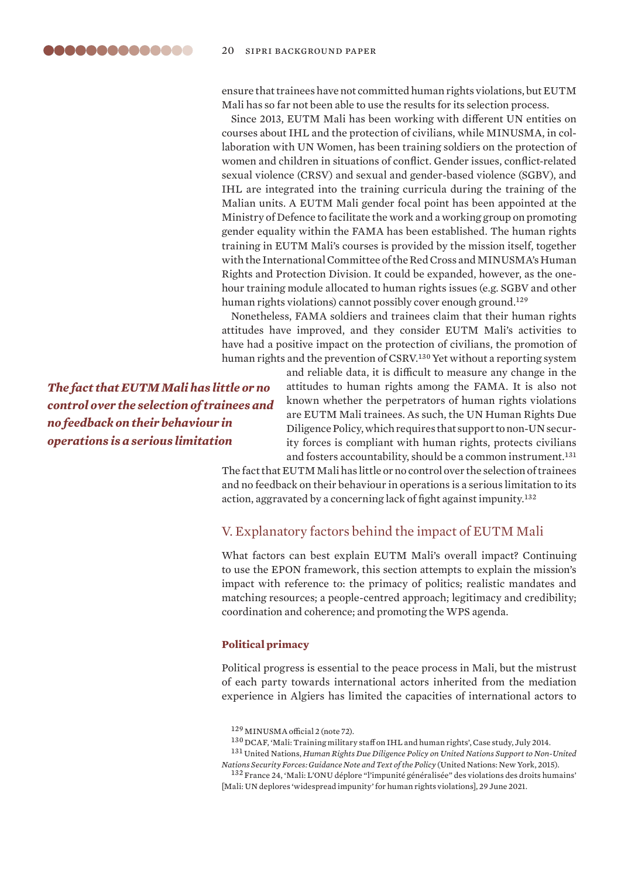<span id="page-19-0"></span>ensure that trainees have not committed human rights violations, but EUTM Mali has so far not been able to use the results for its selection process.

Since 2013, EUTM Mali has been working with different UN entities on courses about IHL and the protection of civilians, while MINUSMA, in collaboration with UN Women, has been training soldiers on the protection of women and children in situations of conflict. Gender issues, conflict-related sexual violence (CRSV) and sexual and gender-based violence (SGBV), and IHL are integrated into the training curricula during the training of the Malian units. A EUTM Mali gender focal point has been appointed at the Ministry of Defence to facilitate the work and a working group on promoting gender equality within the FAMA has been established. The human rights training in EUTM Mali's courses is provided by the mission itself, together with the International Committee of the Red Cross and MINUSMA's Human Rights and Protection Division. It could be expanded, however, as the onehour training module allocated to human rights issues (e.g. SGBV and other human rights violations) cannot possibly cover enough ground.<sup>129</sup>

Nonetheless, FAMA soldiers and trainees claim that their human rights attitudes have improved, and they consider EUTM Mali's activities to have had a positive impact on the protection of civilians, the promotion of human rights and the prevention of CSRV.<sup>130</sup> Yet without a reporting system

*The fact that EUTM Mali has little or no control over the selection of trainees and no feedback on their behaviour in operations is a serious limitation*

and reliable data, it is difficult to measure any change in the attitudes to human rights among the FAMA. It is also not known whether the perpetrators of human rights violations are EUTM Mali trainees. As such, the UN Human Rights Due Diligence Policy, which requires that support to non-UN security forces is compliant with human rights, protects civilians and fosters accountability, should be a common instrument.<sup>131</sup>

The fact that EUTM Mali has little or no control over the selection of trainees and no feedback on their behaviour in operations is a serious limitation to its action, aggravated by a concerning lack of fight against impunity.<sup>132</sup>

# V. Explanatory factors behind the impact of EUTM Mali

What factors can best explain EUTM Mali's overall impact? Continuing to use the EPON framework, this section attempts to explain the mission's impact with reference to: the primacy of politics; realistic mandates and matching resources; a people-centred approach; legitimacy and credibility; coordination and coherence; and promoting the WPS agenda.

# **Political primacy**

Political progress is essential to the peace process in Mali, but the mistrust of each party towards international actors inherited from the mediation experience in Algiers has limited the capacities of international actors to

<sup>129</sup> MINUSMA official 2 (note 72).

 $^{130}\rm{DCAF},$  '[Mali: Training military staff on IHL and human rights](https://issat.dcaf.ch/fre/Apprendre/La-bibliotheque-des-ressources/Etudes-de-cas/Mali-Training-Military-staff-on-IHL-and-Human-Rights)', Case study, July 2014.

<sup>131</sup> United Nations, *[Human Rights Due Diligence Policy on United Nations Support to Non-United](https://unsdg.un.org/sites/default/files/Inter-Agency-HRDDP-Guidance-Note-2015.pdf)  [Nations Security Forces: Guidance Note and Text of the Policy](https://unsdg.un.org/sites/default/files/Inter-Agency-HRDDP-Guidance-Note-2015.pdf)* (United Nations: New York, 2015).

<sup>132</sup> France 24, '[Mali: L'ONU déplore "l'impunité généralisée" des violations des droits humains'](https://www.france24.com/fr/afrique/20210629-mali-l-onu-d%C3%A9plore-l-impunit%C3%A9-g%C3%A9n%C3%A9ralis%C3%A9e-des-violations-des-droits-humains) [Mali: UN deplores 'widespread impunity' for human rights violations], 29 June 2021.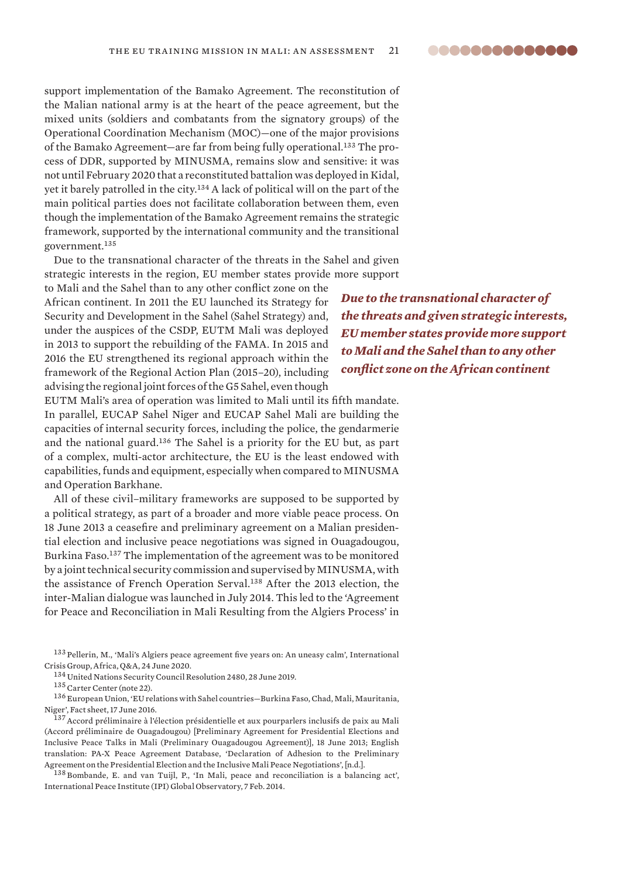support implementation of the Bamako Agreement. The reconstitution of the Malian national army is at the heart of the peace agreement, but the mixed units (soldiers and combatants from the signatory groups) of the Operational Coordination Mechanism (MOC)—one of the major provisions of the Bamako Agreement—are far from being fully operational.133 The process of DDR, supported by MINUSMA, remains slow and sensitive: it was not until February 2020 that a reconstituted battalion was deployed in Kidal, yet it barely patrolled in the city.<sup>134</sup> A lack of political will on the part of the main political parties does not facilitate collaboration between them, even though the implementation of the Bamako Agreement remains the strategic framework, supported by the international community and the transitional government.<sup>135</sup>

Due to the transnational character of the threats in the Sahel and given strategic interests in the region, EU member states provide more support

to Mali and the Sahel than to any other conflict zone on the African continent. In 2011 the EU launched its Strategy for Security and Development in the Sahel (Sahel Strategy) and, under the auspices of the CSDP, EUTM Mali was deployed in 2013 to support the rebuilding of the FAMA. In 2015 and 2016 the EU strengthened its regional approach within the framework of the Regional Action Plan (2015–20), including advising the regional joint forces of the G5 Sahel, even though

EUTM Mali's area of operation was limited to Mali until its fifth mandate. In parallel, EUCAP Sahel Niger and EUCAP Sahel Mali are building the capacities of internal security forces, including the police, the gendarmerie and the national guard.<sup>136</sup> The Sahel is a priority for the EU but, as part of a complex, multi-actor architecture, the EU is the least endowed with capabilities, funds and equipment, especially when compared to MINUSMA and Operation Barkhane.

All of these civil–military frameworks are supposed to be supported by a political strategy, as part of a broader and more viable peace process. On 18 June 2013 a ceasefire and preliminary agreement on a Malian presidential election and inclusive peace negotiations was signed in Ouagadougou, Burkina Faso.<sup>137</sup> The implementation of the agreement was to be monitored by a joint technical security commission and supervised by MINUSMA, with the assistance of French Operation Serval.<sup>138</sup> After the 2013 election, the inter-Malian dialogue was launched in July 2014. This led to the 'Agreement for Peace and Reconciliation in Mali Resulting from the Algiers Process' in

<sup>133</sup> Pellerin, M., '[Mali's Algiers peace agreement five years on: An uneasy calm](https://www.crisisgroup.org/africa/sahel/mali/laccord-dalger-cinq-ans-apres-un-calme-precaire-dont-il-ne-faut-pas-se-satisfaire)', International Crisis Group, Africa, Q&A, 24 June 2020.

<sup>134</sup> United Nations Security Council Resolution 2480, 28 June 2019.

<sup>136</sup> European Union, ['EU relations with Sahel countries—Burkina Faso, Chad, Mali, Mauritania,](https://eeas.europa.eu/archives/docs/factsheets/docs/sahel-european-union-factsheet_en.pdf)  [Niger'](https://eeas.europa.eu/archives/docs/factsheets/docs/sahel-european-union-factsheet_en.pdf), Fact sheet, 17 June 2016.

<sup>137</sup>[Accord préliminaire à l'élection présidentielle et aux pourparlers inclusifs de paix au Mali](https://peacemaker.un.org/sites/peacemaker.un.org/files/ML_130618_AccordElectionsDialogueInclusif.pdf)  [\(Accord préliminaire de Ouagadougou\)](https://peacemaker.un.org/sites/peacemaker.un.org/files/ML_130618_AccordElectionsDialogueInclusif.pdf) [Preliminary Agreement for Presidential Elections and Inclusive Peace Talks in Mali (Preliminary Ouagadougou Agreement)], 18 June 2013; English translation: PA-X Peace Agreement Database, ['Declaration of Adhesion to the Preliminary](https://www.peaceagreements.org/viewmasterdocument/814)  [Agreement on the Presidential Election and the Inclusive Mali Peace Negotiations'](https://www.peaceagreements.org/viewmasterdocument/814), [n.d.].

<sup>138</sup> Bombande, E. and van Tuijl, P., '[In Mali, peace and reconciliation is a balancing act](https://theglobalobservatory.org/2014/02/in-mali-its-a-balancing-act-between-peace-and-reconciliation/)', International Peace Institute (IPI) Global Observatory, 7 Feb. 2014.

*Due to the transnational character of the threats and given strategic interests, EU member states provide more support to Mali and the Sahel than to any other conflict zone on the African continent* 

<sup>135</sup> Carter Center (note 22).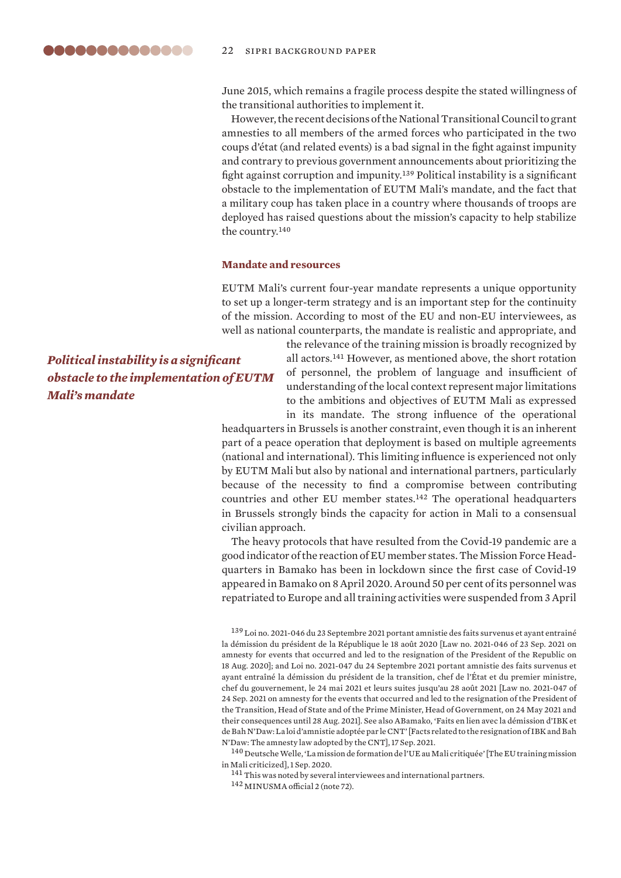<span id="page-21-0"></span>June 2015, which remains a fragile process despite the stated willingness of the transitional authorities to implement it.

However, the recent decisions of the National Transitional Council to grant amnesties to all members of the armed forces who participated in the two coups d'état (and related events) is a bad signal in the fight against impunity and contrary to previous government announcements about prioritizing the fight against corruption and impunity.<sup>139</sup> Political instability is a significant obstacle to the implementation of EUTM Mali's mandate, and the fact that a military coup has taken place in a country where thousands of troops are deployed has raised questions about the mission's capacity to help stabilize the country.<sup>140</sup>

## **Mandate and resources**

EUTM Mali's current four-year mandate represents a unique opportunity to set up a longer-term strategy and is an important step for the continuity of the mission. According to most of the EU and non-EU interviewees, as well as national counterparts, the mandate is realistic and appropriate, and

*Political instability is a significant obstacle to the implementation of EUTM Mali's mandate*

the relevance of the training mission is broadly recognized by all actors.<sup>141</sup> However, as mentioned above, the short rotation of personnel, the problem of language and insufficient of understanding of the local context represent major limitations to the ambitions and objectives of EUTM Mali as expressed in its mandate. The strong influence of the operational

headquarters in Brussels is another constraint, even though it is an inherent part of a peace operation that deployment is based on multiple agreements (national and international). This limiting influence is experienced not only by EUTM Mali but also by national and international partners, particularly because of the necessity to find a compromise between contributing countries and other EU member states.<sup>142</sup> The operational headquarters in Brussels strongly binds the capacity for action in Mali to a consensual civilian approach.

The heavy protocols that have resulted from the Covid-19 pandemic are a good indicator of the reaction of EU member states. The Mission Force Headquarters in Bamako has been in lockdown since the first case of Covid-19 appeared in Bamako on 8 April 2020. Around 50 per cent of its personnel was repatriated to Europe and all training activities were suspended from 3 April

<sup>139</sup> [Loi no. 2021-046 du 23 Septembre 2021 portant amnistie des faits survenus et ayant entrainé](https://sgg-mali.ml/JO/2021/mali-jo-2021-27.pdf)  [la démission du président de la République le 18 août 2020](https://sgg-mali.ml/JO/2021/mali-jo-2021-27.pdf) [Law no. 2021-046 of 23 Sep. 2021 on amnesty for events that occurred and led to the resignation of the President of the Republic on 18 Aug. 2020]; and [Loi no. 2021-047 du 24 Septembre 2021 portant amnistie des faits survenus et](https://www.labase-lextenso.fr/sites/lextenso/files/lextenso_upload/l_l._mali_2021-051_29_sept._2021.pdf)  [ayant entraîné la démission du président de la transition, chef de l'État et du premier ministre,](https://www.labase-lextenso.fr/sites/lextenso/files/lextenso_upload/l_l._mali_2021-051_29_sept._2021.pdf)  [chef du gouvernement, le 24 mai 2021 et leurs suites jusqu'au 28 août 2021](https://www.labase-lextenso.fr/sites/lextenso/files/lextenso_upload/l_l._mali_2021-051_29_sept._2021.pdf) [Law no. 2021-047 of 24 Sep. 2021 on amnesty for the events that occurred and led to the resignation of the President of the Transition, Head of State and of the Prime Minister, Head of Government, on 24 May 2021 and their consequences until 28 Aug. 2021]. See also ABamako, ['Faits en lien avec la démission d'IBK et](http://news.abamako.com/h/256661.html)  [de Bah N'Daw: La loi d'amnistie adoptée par le CNT'](http://news.abamako.com/h/256661.html) [Facts related to the resignation of IBK and Bah N'Daw: The amnesty law adopted by the CNT], 17 Sep. 2021.

<sup>140</sup> Deutsche Welle, '[La mission de formation de l'UE au Mali critiquée](https://www.dw.com/fr/la-mission-de-formation-militaire-de-lue-au-mali-critiqu%C3%A9e/a-54777981)' [The EU training mission in Mali criticized], 1 Sep. 2020.

<sup>141</sup> This was noted by several interviewees and international partners.

<sup>142</sup> MINUSMA official 2 (note 72).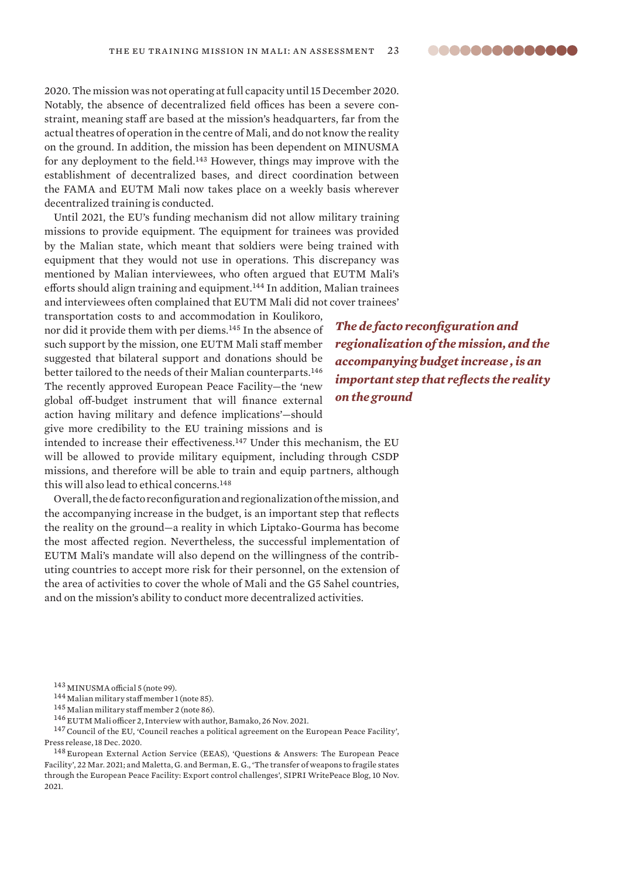<span id="page-22-0"></span>2020. The mission was not operating at full capacity until 15 December 2020. Notably, the absence of decentralized field offices has been a severe constraint, meaning staff are based at the mission's headquarters, far from the actual theatres of operation in the centre of Mali, and do not know the reality on the ground. In addition, the mission has been dependent on MINUSMA for any deployment to the field.<sup>143</sup> However, things may improve with the establishment of decentralized bases, and direct coordination between the FAMA and EUTM Mali now takes place on a weekly basis wherever decentralized training is conducted.

Until 2021, the EU's funding mechanism did not allow military training missions to provide equipment. The equipment for trainees was provided by the Malian state, which meant that soldiers were being trained with equipment that they would not use in operations. This discrepancy was mentioned by Malian interviewees, who often argued that EUTM Mali's efforts should align training and equipment.<sup>144</sup> In addition, Malian trainees and interviewees often complained that EUTM Mali did not cover trainees'

transportation costs to and accommodation in Koulikoro, nor did it provide them with per diems.<sup>145</sup> In the absence of such support by the mission, one EUTM Mali staff member suggested that bilateral support and donations should be better tailored to the needs of their Malian counterparts.<sup>146</sup> The recently approved European Peace Facility—the 'new global off-budget instrument that will finance external action having military and defence implications'—should give more credibility to the EU training missions and is

*The de facto reconfiguration and regionalization of the mission, and the accompanying budget increase , is an important step that reflects the reality on the ground*

intended to increase their effectiveness.<sup>147</sup> Under this mechanism, the EU will be allowed to provide military equipment, including through CSDP missions, and therefore will be able to train and equip partners, although this will also lead to ethical concerns.<sup>148</sup>

Overall, the de facto reconfiguration and regionalization of the mission, and the accompanying increase in the budget, is an important step that reflects the reality on the ground—a reality in which Liptako-Gourma has become the most affected region. Nevertheless, the successful implementation of EUTM Mali's mandate will also depend on the willingness of the contributing countries to accept more risk for their personnel, on the extension of the area of activities to cover the whole of Mali and the G5 Sahel countries, and on the mission's ability to conduct more decentralized activities.

<sup>146</sup> EUTM Mali officer 2, Interview with author, Bamako, 26 Nov. 2021.

<sup>147</sup> Council of the EU, ['Council reaches a political agreement on the European Peace Facility](https://www.consilium.europa.eu/en/press/press-releases/2020/12/18/council-reaches-a-political-agreement-on-the-european-peace-facility/)', Press release, 18 Dec. 2020.

<sup>148</sup> European External Action Service (EEAS), '[Questions & Answers: The European Peace](https://eeas.europa.eu/headquarters/headquarters-homepage/46286/questions-answers-european-peace-facility_en)  [Facility](https://eeas.europa.eu/headquarters/headquarters-homepage/46286/questions-answers-european-peace-facility_en)', 22 Mar. 2021; and Maletta, G. and Berman, E. G., '[The transfer of weapons to fragile states](https://www.sipri.org/commentary/blog/2021/transfer-weapons-fragile-states-through-european-peace-facility-export-control-challenges)  [through the European Peace Facility: Export control challenges'](https://www.sipri.org/commentary/blog/2021/transfer-weapons-fragile-states-through-european-peace-facility-export-control-challenges), SIPRI WritePeace Blog, 10 Nov. 2021.

<sup>143</sup> MINUSMA official 5 (note 99).

<sup>144</sup> Malian military staff member 1 (note 85).

<sup>145</sup> Malian military staff member 2 (note 86).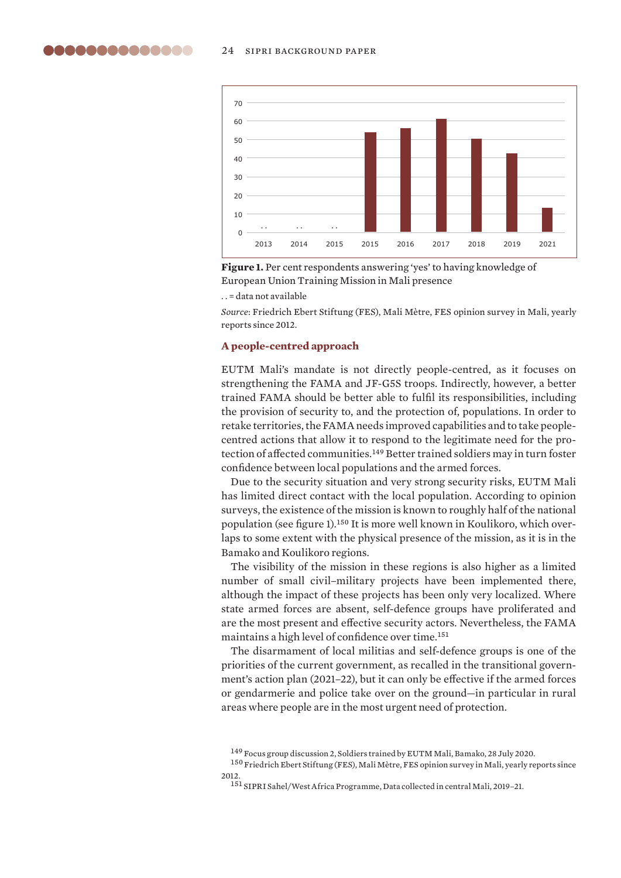<span id="page-23-0"></span>

**Figure 1.** Per cent respondents answering 'yes' to having knowledge of European Union Training Mission in Mali presence

. . = data not available

*Source*: Friedrich Ebert Stiftung (FES), [Mali Mètre](https://mali.fes.de/mali-metre), FES opinion survey in Mali, yearly reports since 2012.

#### **A people-centred approach**

EUTM Mali's mandate is not directly people-centred, as it focuses on strengthening the FAMA and JF-G5S troops. Indirectly, however, a better trained FAMA should be better able to fulfil its responsibilities, including the provision of security to, and the protection of, populations. In order to retake territories, the FAMA needs improved capabilities and to take peoplecentred actions that allow it to respond to the legitimate need for the protection of affected communities.<sup>149</sup> Better trained soldiers may in turn foster confidence between local populations and the armed forces.

Due to the security situation and very strong security risks, EUTM Mali has limited direct contact with the local population. According to opinion surveys, the existence of the mission is known to roughly half of the national population (see figure 1).150 It is more well known in Koulikoro, which overlaps to some extent with the physical presence of the mission, as it is in the Bamako and Koulikoro regions.

The visibility of the mission in these regions is also higher as a limited number of small civil–military projects have been implemented there, although the impact of these projects has been only very localized. Where state armed forces are absent, self-defence groups have proliferated and are the most present and effective security actors. Nevertheless, the FAMA maintains a high level of confidence over time.<sup>151</sup>

The disarmament of local militias and self-defence groups is one of the priorities of the current government, as recalled in the transitional government's action plan (2021–22), but it can only be effective if the armed forces or gendarmerie and police take over on the ground—in particular in rural areas where people are in the most urgent need of protection.

<sup>149</sup> Focus group discussion 2, Soldiers trained by EUTM Mali, Bamako, 28 July 2020.

 $^{150}\rm{Friedrich}$  Ebert Stiftung (FES), [Mali Mètre,](https://mali.fes.de/mali-metre) FES opinion survey in Mali, yearly reports since 2012.

<sup>151</sup> SIPRI Sahel/West Africa Programme, Data collected in central Mali, 2019–21.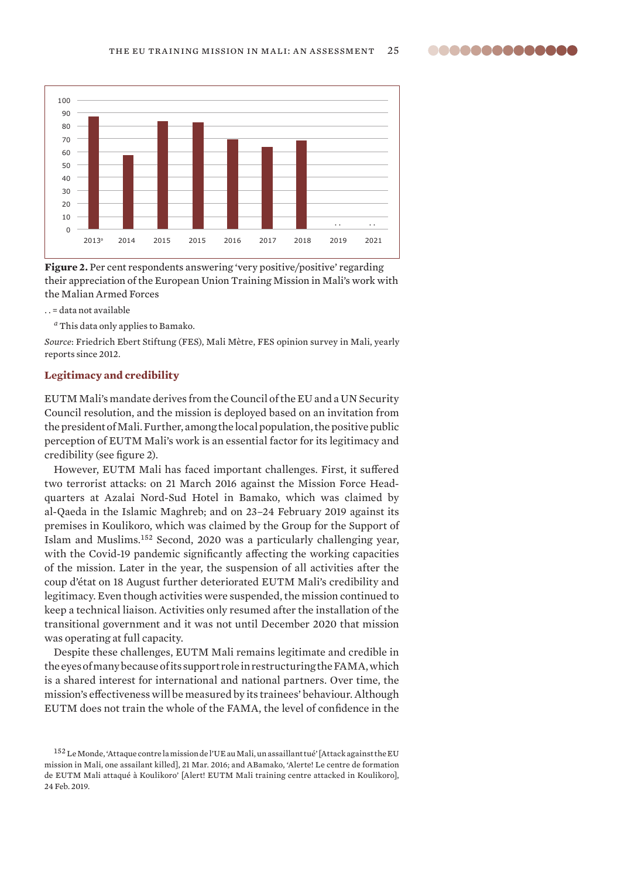<span id="page-24-0"></span>

Figure 2. Per cent respondents answering 'very positive/positive' regarding their appreciation of the European Union Training Mission in Mali's work with the Malian Armed Forces

. . = data not available

*<sup>a</sup>* This data only applies to Bamako.

*Source*: Friedrich Ebert Stiftung (FES), [Mali Mètre,](https://mali.fes.de/mali-metre) FES opinion survey in Mali, yearly reports since 2012.

# **Legitimacy and credibility**

EUTM Mali's mandate derives from the Council of the EU and a UN Security Council resolution, and the mission is deployed based on an invitation from the president of Mali. Further, among the local population, the positive public perception of EUTM Mali's work is an essential factor for its legitimacy and credibility (see figure 2).

However, EUTM Mali has faced important challenges. First, it suffered two terrorist attacks: on 21 March 2016 against the Mission Force Headquarters at Azalai Nord-Sud Hotel in Bamako, which was claimed by al-Qaeda in the Islamic Maghreb; and on 23–24 February 2019 against its premises in Koulikoro, which was claimed by the Group for the Support of Islam and Muslims.<sup>152</sup> Second, 2020 was a particularly challenging year, with the Covid-19 pandemic significantly affecting the working capacities of the mission. Later in the year, the suspension of all activities after the coup d'état on 18 August further deteriorated EUTM Mali's credibility and legitimacy. Even though activities were suspended, the mission continued to keep a technical liaison. Activities only resumed after the installation of the transitional government and it was not until December 2020 that mission was operating at full capacity.

Despite these challenges, EUTM Mali remains legitimate and credible in the eyes of many because of its support role in restructuring the FAMA, which is a shared interest for international and national partners. Over time, the mission's effectiveness will be measured by its trainees' behaviour. Although EUTM does not train the whole of the FAMA, the level of confidence in the

 $^{152}$  Le Monde, ['Attaque contre la mission de l'UE au Mali, un assaillant tué'](https://www.lemonde.fr/afrique/article/2016/03/21/mali-attaque-armee-a-bamako_4887343_3212.html) [Attack against the EU mission in Mali, one assailant killed], 21 Mar. 2016; and ABamako, ['Alerte! Le centre de formation](http://news.abamako.com/h/207511.html)  [de EUTM Mali attaqué à Koulikoro'](http://news.abamako.com/h/207511.html) [Alert! EUTM Mali training centre attacked in Koulikoro], 24 Feb. 2019.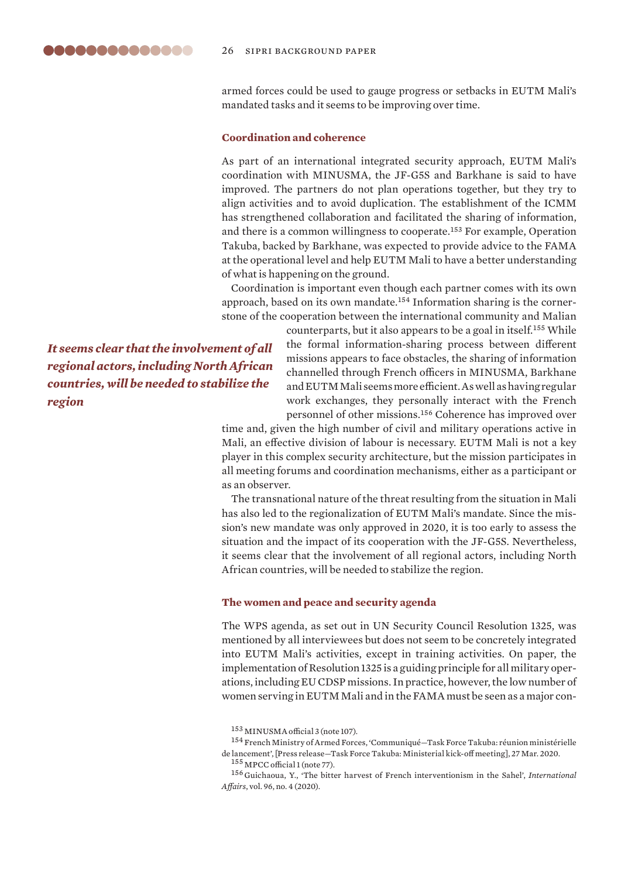<span id="page-25-0"></span>armed forces could be used to gauge progress or setbacks in EUTM Mali's mandated tasks and it seems to be improving over time.

# **Coordination and coherence**

As part of an international integrated security approach, EUTM Mali's coordination with MINUSMA, the JF-G5S and Barkhane is said to have improved. The partners do not plan operations together, but they try to align activities and to avoid duplication. The establishment of the ICMM has strengthened collaboration and facilitated the sharing of information, and there is a common willingness to cooperate.<sup>153</sup> For example, Operation Takuba, backed by Barkhane, was expected to provide advice to the FAMA at the operational level and help EUTM Mali to have a better understanding of what is happening on the ground.

Coordination is important even though each partner comes with its own approach, based on its own mandate.154 Information sharing is the cornerstone of the cooperation between the international community and Malian

*It seems clear that the involvement of all regional actors, including North African countries, will be needed to stabilize the region*

counterparts, but it also appears to be a goal in itself.<sup>155</sup> While the formal information-sharing process between different missions appears to face obstacles, the sharing of information channelled through French officers in MINUSMA, Barkhane and EUTM Mali seems more efficient. As well as having regular work exchanges, they personally interact with the French personnel of other missions.<sup>156</sup> Coherence has improved over

time and, given the high number of civil and military operations active in Mali, an effective division of labour is necessary. EUTM Mali is not a key player in this complex security architecture, but the mission participates in all meeting forums and coordination mechanisms, either as a participant or as an observer.

The transnational nature of the threat resulting from the situation in Mali has also led to the regionalization of EUTM Mali's mandate. Since the mission's new mandate was only approved in 2020, it is too early to assess the situation and the impact of its cooperation with the JF-G5S. Nevertheless, it seems clear that the involvement of all regional actors, including North African countries, will be needed to stabilize the region.

#### **The women and peace and security agenda**

The WPS agenda, as set out in UN Security Council Resolution 1325, was mentioned by all interviewees but does not seem to be concretely integrated into EUTM Mali's activities, except in training activities. On paper, the implementation of Resolution 1325 is a guiding principle for all military operations, including EU CDSP missions. In practice, however, the low number of women serving in EUTM Mali and in the FAMA must be seen as a major con-

<sup>153</sup> MINUSMA official 3 (note 107).

 $^{154}$  French Ministry of Armed Forces, 'Communiqué—Task Force Takuba: réunion ministérielle [de lancement](https://www.defense.gouv.fr/salle-de-presse/communiques/communique_task-force-takuba-reunion-ministerielle-de-lancement)', [Press release—Task Force Takuba: Ministerial kick-off meeting], 27 Mar. 2020.

<sup>155</sup> MPCC official 1 (note 77).

<sup>156</sup> Guichaoua, Y., '[The bitter harvest of French interventionism in the Sahel'](https://doi.org/10.1093/ia/iiaa094), *International Affairs*, vol. 96, no. 4 (2020).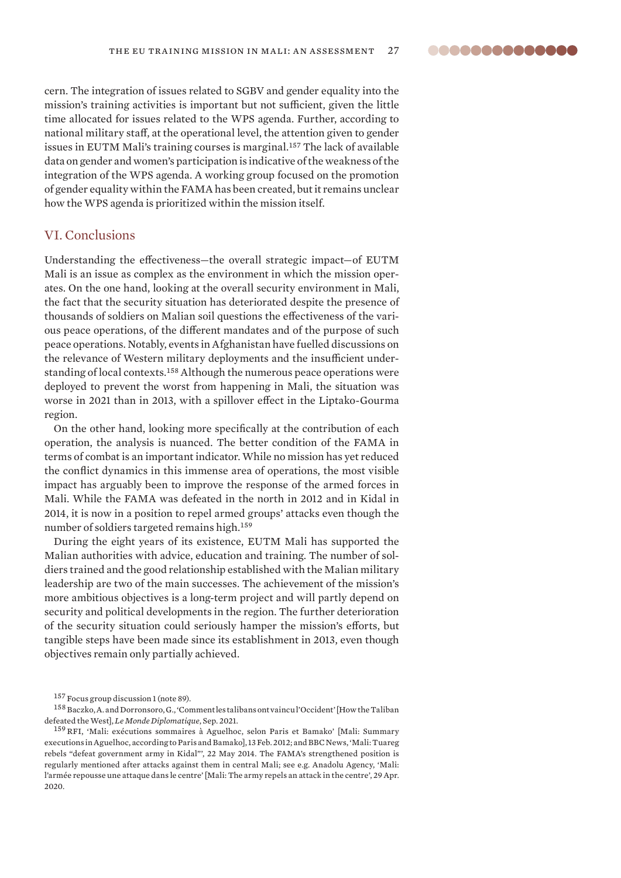<span id="page-26-0"></span>cern. The integration of issues related to SGBV and gender equality into the mission's training activities is important but not sufficient, given the little time allocated for issues related to the WPS agenda. Further, according to national military staff, at the operational level, the attention given to gender issues in EUTM Mali's training courses is marginal.<sup>157</sup> The lack of available data on gender and women's participation is indicative of the weakness of the integration of the WPS agenda. A working group focused on the promotion of gender equality within the FAMA has been created, but it remains unclear how the WPS agenda is prioritized within the mission itself.

# VI. Conclusions

Understanding the effectiveness—the overall strategic impact—of EUTM Mali is an issue as complex as the environment in which the mission operates. On the one hand, looking at the overall security environment in Mali, the fact that the security situation has deteriorated despite the presence of thousands of soldiers on Malian soil questions the effectiveness of the various peace operations, of the different mandates and of the purpose of such peace operations. Notably, events in Afghanistan have fuelled discussions on the relevance of Western military deployments and the insufficient understanding of local contexts.<sup>158</sup> Although the numerous peace operations were deployed to prevent the worst from happening in Mali, the situation was worse in 2021 than in 2013, with a spillover effect in the Liptako-Gourma region.

On the other hand, looking more specifically at the contribution of each operation, the analysis is nuanced. The better condition of the FAMA in terms of combat is an important indicator. While no mission has yet reduced the conflict dynamics in this immense area of operations, the most visible impact has arguably been to improve the response of the armed forces in Mali. While the FAMA was defeated in the north in 2012 and in Kidal in 2014, it is now in a position to repel armed groups' attacks even though the number of soldiers targeted remains high.<sup>159</sup>

During the eight years of its existence, EUTM Mali has supported the Malian authorities with advice, education and training. The number of soldiers trained and the good relationship established with the Malian military leadership are two of the main successes. The achievement of the mission's more ambitious objectives is a long-term project and will partly depend on security and political developments in the region. The further deterioration of the security situation could seriously hamper the mission's efforts, but tangible steps have been made since its establishment in 2013, even though objectives remain only partially achieved.

<sup>157</sup> Focus group discussion 1 (note 89).

<sup>158</sup> Baczko, A. and Dorronsoro, G., ['Comment les talibans ont vaincu l'Occident'](https://www.monde-diplomatique.fr/2021/09/BACZKO/63487) [How the Taliban defeated the West], *Le Monde Diplomatique*, Sep. 2021.

<sup>159</sup>RFI, ['Mali: exécutions sommaires à Aguelhoc, selon Paris et Bamako'](https://www.rfi.fr/fr/afrique/20120213-mali-executions-sommaires-aguelhok-selon-paris-bamako) [Mali: Summary executions in Aguelhoc, according to Paris and Bamako], 13 Feb. 2012; and BBC News, ['Mali: Tuareg](https://www.bbc.com/news/world-africa-27511448)  [rebels "defeat government army in Kidal"'](https://www.bbc.com/news/world-africa-27511448), 22 May 2014. The FAMA's strengthened position is regularly mentioned after attacks against them in central Mali; see e.g. Anadolu Agency, '[Mali:](https://www.aa.com.tr/fr/afrique/mali-l-arm%C3%A9e-repousse-une-attaque-dans-le-centre-/1823065#)  [l'armée repousse une attaque dans le centre' \[Mali: The army repels an attack in the centre](https://www.aa.com.tr/fr/afrique/mali-l-arm%C3%A9e-repousse-une-attaque-dans-le-centre-/1823065#)', 29 Apr. 2020.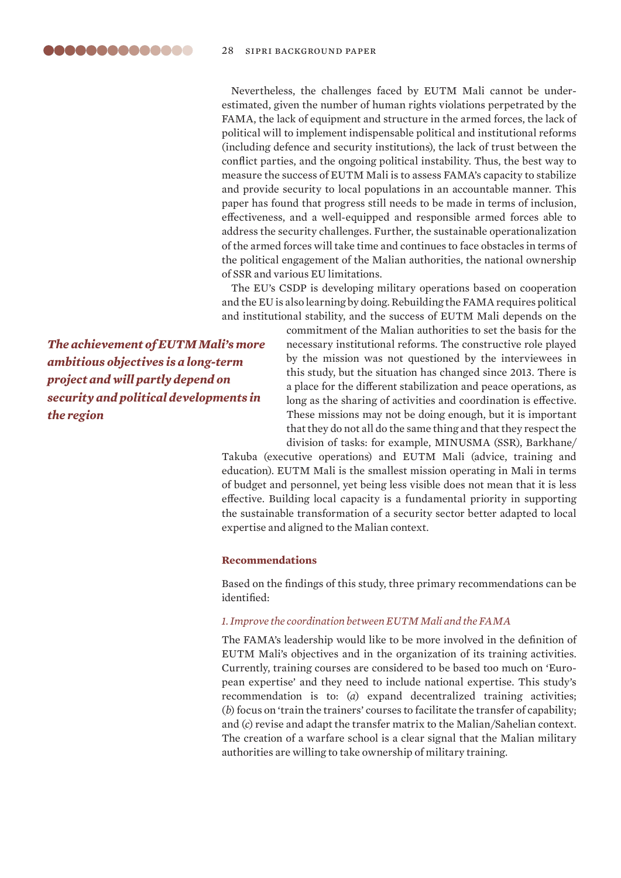<span id="page-27-0"></span>Nevertheless, the challenges faced by EUTM Mali cannot be underestimated, given the number of human rights violations perpetrated by the FAMA, the lack of equipment and structure in the armed forces, the lack of political will to implement indispensable political and institutional reforms (including defence and security institutions), the lack of trust between the conflict parties, and the ongoing political instability. Thus, the best way to measure the success of EUTM Mali is to assess FAMA's capacity to stabilize and provide security to local populations in an accountable manner. This paper has found that progress still needs to be made in terms of inclusion, effectiveness, and a well-equipped and responsible armed forces able to address the security challenges. Further, the sustainable operationalization of the armed forces will take time and continues to face obstacles in terms of the political engagement of the Malian authorities, the national ownership of SSR and various EU limitations.

The EU's CSDP is developing military operations based on cooperation and the EU is also learning by doing. Rebuilding the FAMA requires political and institutional stability, and the success of EUTM Mali depends on the

*The achievement of EUTM Mali's more ambitious objectives is a long-term project and will partly depend on security and political developments in the region*

commitment of the Malian authorities to set the basis for the necessary institutional reforms. The constructive role played by the mission was not questioned by the interviewees in this study, but the situation has changed since 2013. There is a place for the different stabilization and peace operations, as long as the sharing of activities and coordination is effective. These missions may not be doing enough, but it is important that they do not all do the same thing and that they respect the division of tasks: for example, MINUSMA (SSR), Barkhane/

Takuba (executive operations) and EUTM Mali (advice, training and education). EUTM Mali is the smallest mission operating in Mali in terms of budget and personnel, yet being less visible does not mean that it is less effective. Building local capacity is a fundamental priority in supporting the sustainable transformation of a security sector better adapted to local expertise and aligned to the Malian context.

#### **Recommendations**

Based on the findings of this study, three primary recommendations can be identified:

# *1. Improve the coordination between EUTM Mali and the FAMA*

The FAMA's leadership would like to be more involved in the definition of EUTM Mali's objectives and in the organization of its training activities. Currently, training courses are considered to be based too much on 'European expertise' and they need to include national expertise. This study's recommendation is to: (*a*) expand decentralized training activities; (*b*) focus on 'train the trainers' courses to facilitate the transfer of capability; and (*c*) revise and adapt the transfer matrix to the Malian/Sahelian context. The creation of a warfare school is a clear signal that the Malian military authorities are willing to take ownership of military training.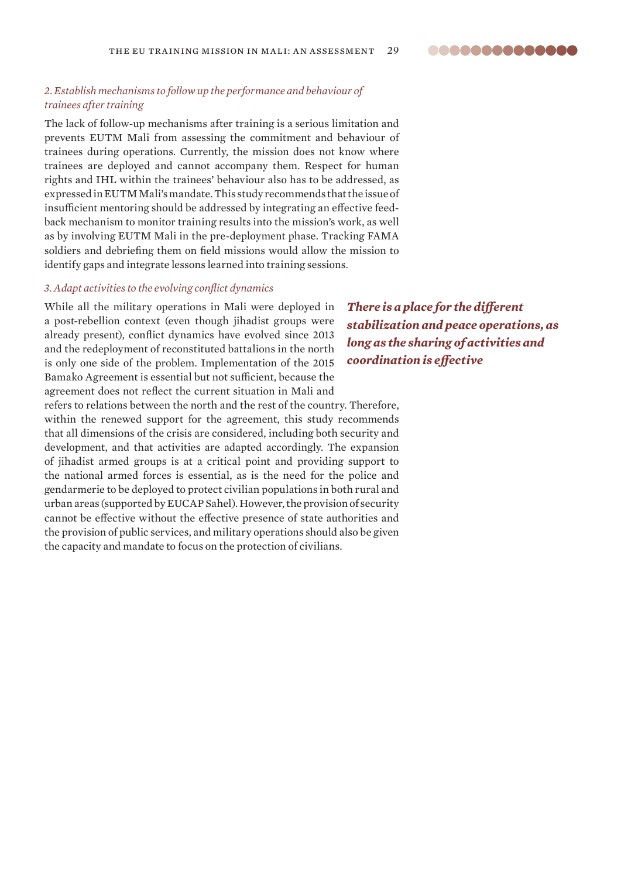# *2. Establish mechanisms to follow up the performance and behaviour of trainees after training*

The lack of follow-up mechanisms after training is a serious limitation and prevents EUTM Mali from assessing the commitment and behaviour of trainees during operations. Currently, the mission does not know where trainees are deployed and cannot accompany them. Respect for human rights and IHL within the trainees' behaviour also has to be addressed, as expressed in EUTM Mali's mandate. This study recommends that the issue of insufficient mentoring should be addressed by integrating an effective feedback mechanism to monitor training results into the mission's work, as well as by involving EUTM Mali in the pre-deployment phase. Tracking FAMA soldiers and debriefing them on field missions would allow the mission to identify gaps and integrate lessons learned into training sessions.

#### *3. Adapt activities to the evolving conflict dynamics*

While all the military operations in Mali were deployed in a post-rebellion context (even though jihadist groups were already present), conflict dynamics have evolved since 2013 and the redeployment of reconstituted battalions in the north is only one side of the problem. Implementation of the 2015 Bamako Agreement is essential but not sufficient, because the agreement does not reflect the current situation in Mali and

refers to relations between the north and the rest of the country. Therefore, within the renewed support for the agreement, this study recommends that all dimensions of the crisis are considered, including both security and development, and that activities are adapted accordingly. The expansion of jihadist armed groups is at a critical point and providing support to the national armed forces is essential, as is the need for the police and gendarmerie to be deployed to protect civilian populations in both rural and urban areas (supported by EUCAP Sahel). However, the provision of security cannot be effective without the effective presence of state authorities and the provision of public services, and military operations should also be given the capacity and mandate to focus on the protection of civilians.

*There is a place for the different stabilization and peace operations, as long as the sharing of activities and coordination is effective*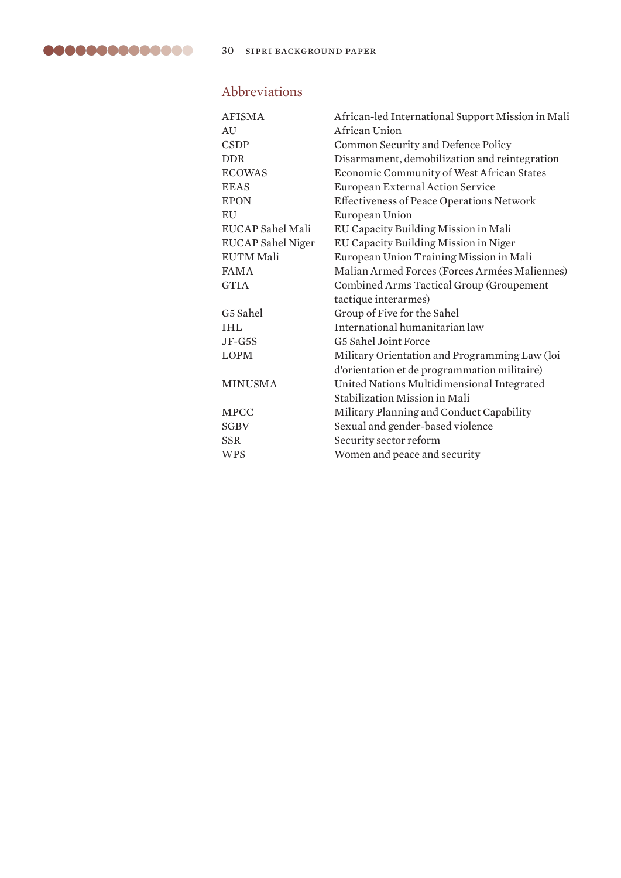# Abbreviations

| <b>AFISMA</b>            | African-led International Support Mission in Mali |  |
|--------------------------|---------------------------------------------------|--|
| AU                       | African Union                                     |  |
| <b>CSDP</b>              | Common Security and Defence Policy                |  |
| <b>DDR</b>               | Disarmament, demobilization and reintegration     |  |
| <b>ECOWAS</b>            | Economic Community of West African States         |  |
| <b>EEAS</b>              | European External Action Service                  |  |
| <b>EPON</b>              | <b>Effectiveness of Peace Operations Network</b>  |  |
| <b>EU</b>                | European Union                                    |  |
| EUCAP Sahel Mali         | EU Capacity Building Mission in Mali              |  |
| <b>EUCAP Sahel Niger</b> | EU Capacity Building Mission in Niger             |  |
| <b>EUTM Mali</b>         | European Union Training Mission in Mali           |  |
| <b>FAMA</b>              | Malian Armed Forces (Forces Armées Maliennes)     |  |
| <b>GTIA</b>              | Combined Arms Tactical Group (Groupement          |  |
|                          | tactique interarmes)                              |  |
| G5 Sahel                 | Group of Five for the Sahel                       |  |
| <b>IHL</b>               | International humanitarian law                    |  |
| $JF-G5S$                 | G5 Sahel Joint Force                              |  |
| <b>LOPM</b>              | Military Orientation and Programming Law (loi     |  |
|                          | d'orientation et de programmation militaire)      |  |
| <b>MINUSMA</b>           | United Nations Multidimensional Integrated        |  |
|                          | Stabilization Mission in Mali                     |  |
| <b>MPCC</b>              | Military Planning and Conduct Capability          |  |
| <b>SGBV</b>              | Sexual and gender-based violence                  |  |
| <b>SSR</b>               | Security sector reform                            |  |
| <b>WPS</b>               | Women and peace and security                      |  |
|                          |                                                   |  |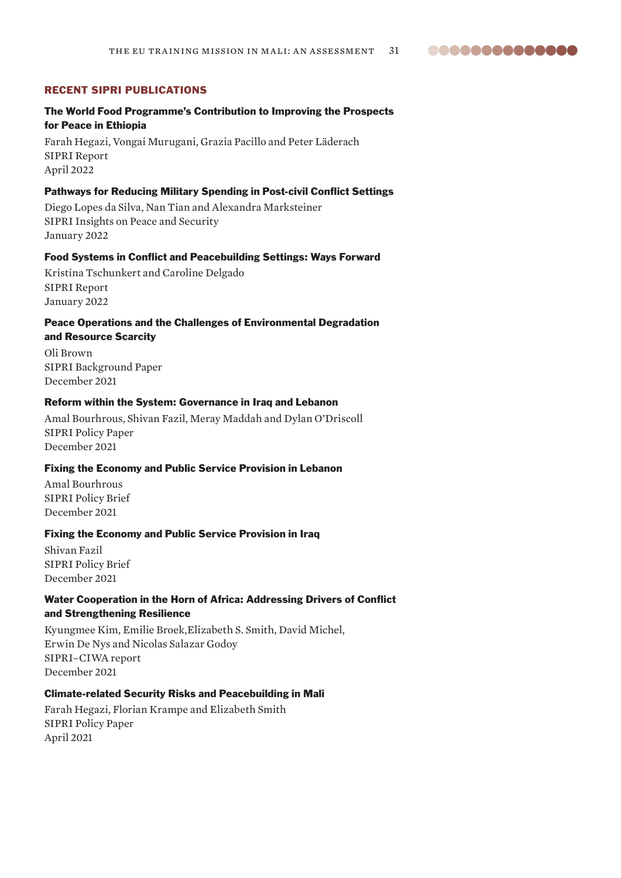**00000000000000** 

# RECENT SIPRI PUBLICATIONS

# The World Food Programme's Contribution to Improving the Prospects for Peace in Ethiopia

Farah Hegazi, Vongai Murugani, Grazia Pacillo and Peter Läderach SIPRI Report April 2022

# Pathways for Reducing Military Spending in Post-civil Conflict Settings

Diego Lopes da Silva, Nan Tian and Alexandra Marksteiner SIPRI Insights on Peace and Security January 2022

# Food Systems in Conflict and Peacebuilding Settings: Ways Forward

Kristina Tschunkert and Caroline Delgado SIPRI Report January 2022

# Peace Operations and the Challenges of Environmental Degradation and Resource Scarcity

Oli Brown SIPRI Background Paper December 2021

#### Reform within the System: Governance in Iraq and Lebanon

Amal Bourhrous, Shivan Fazil, Meray Maddah and Dylan O'Driscoll SIPRI Policy Paper December 2021

## Fixing the Economy and Public Service Provision in Lebanon

Amal Bourhrous SIPRI Policy Brief December 2021

## Fixing the Economy and Public Service Provision in Iraq

Shivan Fazil SIPRI Policy Brief December 2021

# Water Cooperation in the Horn of Africa: Addressing Drivers of Conflict and Strengthening Resilience

Kyungmee Kim, Emilie Broek,Elizabeth S. Smith, David Michel, Erwin De Nys and Nicolas Salazar Godoy SIPRI–CIWA report December 2021

# Climate-related Security Risks and Peacebuilding in Mali

Farah Hegazi, Florian Krampe and Elizabeth Smith SIPRI Policy Paper April 2021